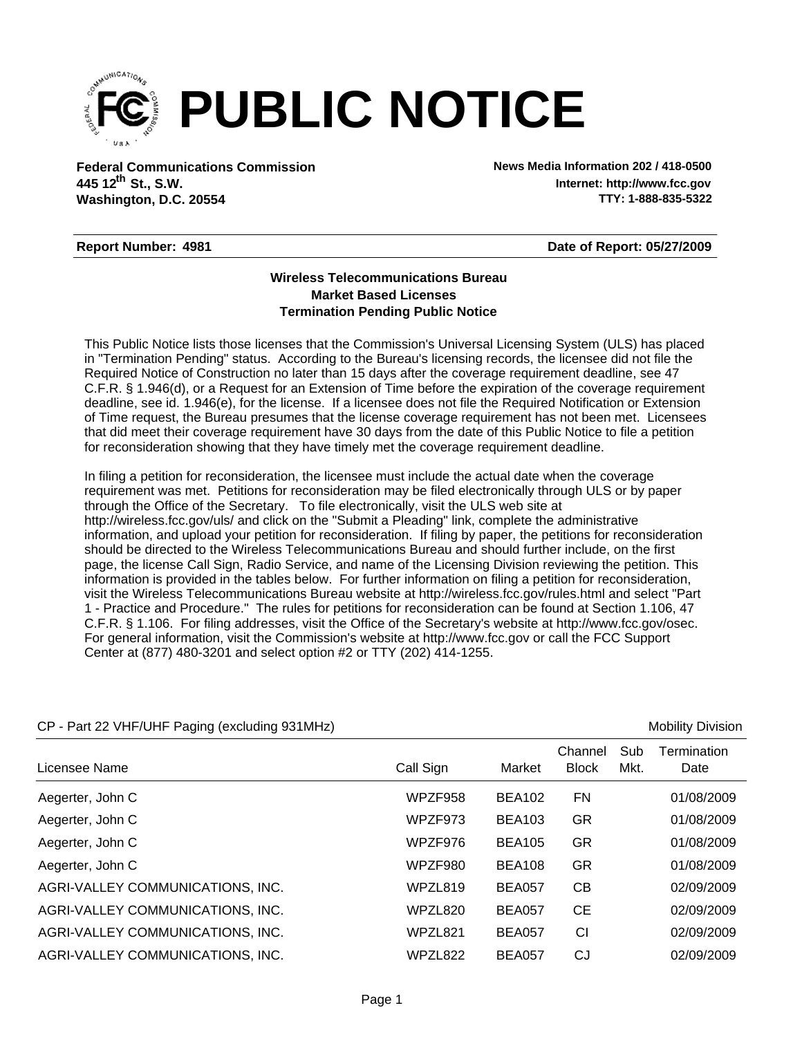

**Federal Communications Commission News Media Information 202 / 418-0500 Washington, D.C. 20554 th 445 12 St., S.W.**

**Internet: http://www.fcc.gov TTY: 1-888-835-5322**

#### **Report Number: 4981**

**Date of Report: 05/27/2009**

#### **Wireless Telecommunications Bureau Market Based Licenses Termination Pending Public Notice**

This Public Notice lists those licenses that the Commission's Universal Licensing System (ULS) has placed in "Termination Pending" status. According to the Bureau's licensing records, the licensee did not file the Required Notice of Construction no later than 15 days after the coverage requirement deadline, see 47 C.F.R. § 1.946(d), or a Request for an Extension of Time before the expiration of the coverage requirement deadline, see id. 1.946(e), for the license. If a licensee does not file the Required Notification or Extension of Time request, the Bureau presumes that the license coverage requirement has not been met. Licensees that did meet their coverage requirement have 30 days from the date of this Public Notice to file a petition for reconsideration showing that they have timely met the coverage requirement deadline.

In filing a petition for reconsideration, the licensee must include the actual date when the coverage requirement was met. Petitions for reconsideration may be filed electronically through ULS or by paper through the Office of the Secretary. To file electronically, visit the ULS web site at http://wireless.fcc.gov/uls/ and click on the "Submit a Pleading" link, complete the administrative information, and upload your petition for reconsideration. If filing by paper, the petitions for reconsideration should be directed to the Wireless Telecommunications Bureau and should further include, on the first page, the license Call Sign, Radio Service, and name of the Licensing Division reviewing the petition. This information is provided in the tables below. For further information on filing a petition for reconsideration, visit the Wireless Telecommunications Bureau website at http://wireless.fcc.gov/rules.html and select "Part 1 - Practice and Procedure." The rules for petitions for reconsideration can be found at Section 1.106, 47 C.F.R. § 1.106. For filing addresses, visit the Office of the Secretary's website at http://www.fcc.gov/osec. For general information, visit the Commission's website at http://www.fcc.gov or call the FCC Support Center at (877) 480-3201 and select option #2 or TTY (202) 414-1255.

| $\frac{1}{2}$ and $\frac{1}{2}$ with $\frac{1}{2}$ of the Faging (CACROMITY COTTINITIE) |           |               |                         |             | <b>IVIUDIIILY DIVIOIUII</b> |
|-----------------------------------------------------------------------------------------|-----------|---------------|-------------------------|-------------|-----------------------------|
| Licensee Name                                                                           | Call Sign | Market        | Channel<br><b>Block</b> | Sub<br>Mkt. | Termination<br>Date         |
| Aegerter, John C                                                                        | WPZF958   | <b>BEA102</b> | <b>FN</b>               |             | 01/08/2009                  |
| Aegerter, John C                                                                        | WPZF973   | <b>BEA103</b> | <b>GR</b>               |             | 01/08/2009                  |
| Aegerter, John C                                                                        | WPZF976   | <b>BEA105</b> | <b>GR</b>               |             | 01/08/2009                  |
| Aegerter, John C                                                                        | WPZF980   | <b>BEA108</b> | <b>GR</b>               |             | 01/08/2009                  |
| AGRI-VALLEY COMMUNICATIONS, INC.                                                        | WPZL819   | <b>BEA057</b> | CВ                      |             | 02/09/2009                  |
| AGRI-VALLEY COMMUNICATIONS, INC.                                                        | WPZL820   | <b>BEA057</b> | <b>CE</b>               |             | 02/09/2009                  |
| AGRI-VALLEY COMMUNICATIONS, INC.                                                        | WPZL821   | <b>BEA057</b> | CI                      |             | 02/09/2009                  |
| AGRI-VALLEY COMMUNICATIONS, INC.                                                        | WPZL822   | <b>BEA057</b> | CJ                      |             | 02/09/2009                  |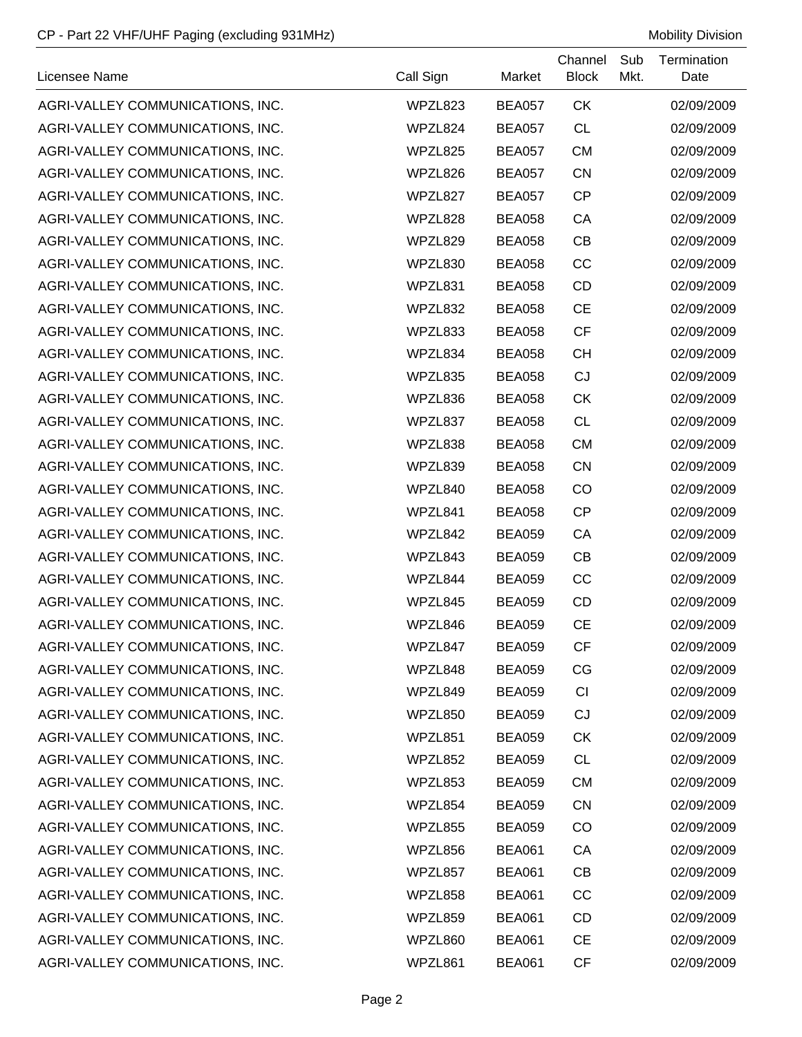| Licensee Name                    | Call Sign | Market        | Channel<br><b>Block</b> | Sub<br>Mkt. | Termination<br>Date |
|----------------------------------|-----------|---------------|-------------------------|-------------|---------------------|
| AGRI-VALLEY COMMUNICATIONS, INC. | WPZL823   | <b>BEA057</b> | <b>CK</b>               |             | 02/09/2009          |
| AGRI-VALLEY COMMUNICATIONS, INC. | WPZL824   | <b>BEA057</b> | <b>CL</b>               |             | 02/09/2009          |
| AGRI-VALLEY COMMUNICATIONS, INC. | WPZL825   | <b>BEA057</b> | <b>CM</b>               |             | 02/09/2009          |
| AGRI-VALLEY COMMUNICATIONS, INC. | WPZL826   | <b>BEA057</b> | <b>CN</b>               |             | 02/09/2009          |
| AGRI-VALLEY COMMUNICATIONS, INC. | WPZL827   | <b>BEA057</b> | <b>CP</b>               |             | 02/09/2009          |
| AGRI-VALLEY COMMUNICATIONS, INC. | WPZL828   | <b>BEA058</b> | CA                      |             | 02/09/2009          |
| AGRI-VALLEY COMMUNICATIONS, INC. | WPZL829   | <b>BEA058</b> | CB                      |             | 02/09/2009          |
| AGRI-VALLEY COMMUNICATIONS, INC. | WPZL830   | <b>BEA058</b> | CC                      |             | 02/09/2009          |
| AGRI-VALLEY COMMUNICATIONS, INC. | WPZL831   | <b>BEA058</b> | CD                      |             | 02/09/2009          |
| AGRI-VALLEY COMMUNICATIONS, INC. | WPZL832   | <b>BEA058</b> | <b>CE</b>               |             | 02/09/2009          |
| AGRI-VALLEY COMMUNICATIONS, INC. | WPZL833   | <b>BEA058</b> | <b>CF</b>               |             | 02/09/2009          |
| AGRI-VALLEY COMMUNICATIONS, INC. | WPZL834   | <b>BEA058</b> | <b>CH</b>               |             | 02/09/2009          |
| AGRI-VALLEY COMMUNICATIONS, INC. | WPZL835   | <b>BEA058</b> | CJ                      |             | 02/09/2009          |
| AGRI-VALLEY COMMUNICATIONS, INC. | WPZL836   | <b>BEA058</b> | <b>CK</b>               |             | 02/09/2009          |
| AGRI-VALLEY COMMUNICATIONS, INC. | WPZL837   | <b>BEA058</b> | <b>CL</b>               |             | 02/09/2009          |
| AGRI-VALLEY COMMUNICATIONS, INC. | WPZL838   | <b>BEA058</b> | <b>CM</b>               |             | 02/09/2009          |
| AGRI-VALLEY COMMUNICATIONS, INC. | WPZL839   | <b>BEA058</b> | <b>CN</b>               |             | 02/09/2009          |
| AGRI-VALLEY COMMUNICATIONS, INC. | WPZL840   | <b>BEA058</b> | CO                      |             | 02/09/2009          |
| AGRI-VALLEY COMMUNICATIONS, INC. | WPZL841   | <b>BEA058</b> | <b>CP</b>               |             | 02/09/2009          |
| AGRI-VALLEY COMMUNICATIONS, INC. | WPZL842   | <b>BEA059</b> | CA                      |             | 02/09/2009          |
| AGRI-VALLEY COMMUNICATIONS, INC. | WPZL843   | <b>BEA059</b> | CB                      |             | 02/09/2009          |
| AGRI-VALLEY COMMUNICATIONS, INC. | WPZL844   | <b>BEA059</b> | CC                      |             | 02/09/2009          |
| AGRI-VALLEY COMMUNICATIONS, INC. | WPZL845   | <b>BEA059</b> | CD                      |             | 02/09/2009          |
| AGRI-VALLEY COMMUNICATIONS, INC. | WPZL846   | <b>BEA059</b> | <b>CE</b>               |             | 02/09/2009          |
| AGRI-VALLEY COMMUNICATIONS, INC. | WPZL847   | <b>BEA059</b> | <b>CF</b>               |             | 02/09/2009          |
| AGRI-VALLEY COMMUNICATIONS, INC. | WPZL848   | <b>BEA059</b> | CG                      |             | 02/09/2009          |
| AGRI-VALLEY COMMUNICATIONS, INC. | WPZL849   | <b>BEA059</b> | CI                      |             | 02/09/2009          |
| AGRI-VALLEY COMMUNICATIONS, INC. | WPZL850   | <b>BEA059</b> | CJ                      |             | 02/09/2009          |
| AGRI-VALLEY COMMUNICATIONS, INC. | WPZL851   | <b>BEA059</b> | <b>CK</b>               |             | 02/09/2009          |
| AGRI-VALLEY COMMUNICATIONS, INC. | WPZL852   | <b>BEA059</b> | <b>CL</b>               |             | 02/09/2009          |
| AGRI-VALLEY COMMUNICATIONS, INC. | WPZL853   | <b>BEA059</b> | <b>CM</b>               |             | 02/09/2009          |
| AGRI-VALLEY COMMUNICATIONS, INC. | WPZL854   | <b>BEA059</b> | <b>CN</b>               |             | 02/09/2009          |
| AGRI-VALLEY COMMUNICATIONS, INC. | WPZL855   | <b>BEA059</b> | CO                      |             | 02/09/2009          |
| AGRI-VALLEY COMMUNICATIONS, INC. | WPZL856   | <b>BEA061</b> | CA                      |             | 02/09/2009          |
| AGRI-VALLEY COMMUNICATIONS, INC. | WPZL857   | <b>BEA061</b> | CB                      |             | 02/09/2009          |
| AGRI-VALLEY COMMUNICATIONS, INC. | WPZL858   | <b>BEA061</b> | CC                      |             | 02/09/2009          |
| AGRI-VALLEY COMMUNICATIONS, INC. | WPZL859   | <b>BEA061</b> | <b>CD</b>               |             | 02/09/2009          |
| AGRI-VALLEY COMMUNICATIONS, INC. | WPZL860   | <b>BEA061</b> | <b>CE</b>               |             | 02/09/2009          |
| AGRI-VALLEY COMMUNICATIONS, INC. | WPZL861   | <b>BEA061</b> | <b>CF</b>               |             | 02/09/2009          |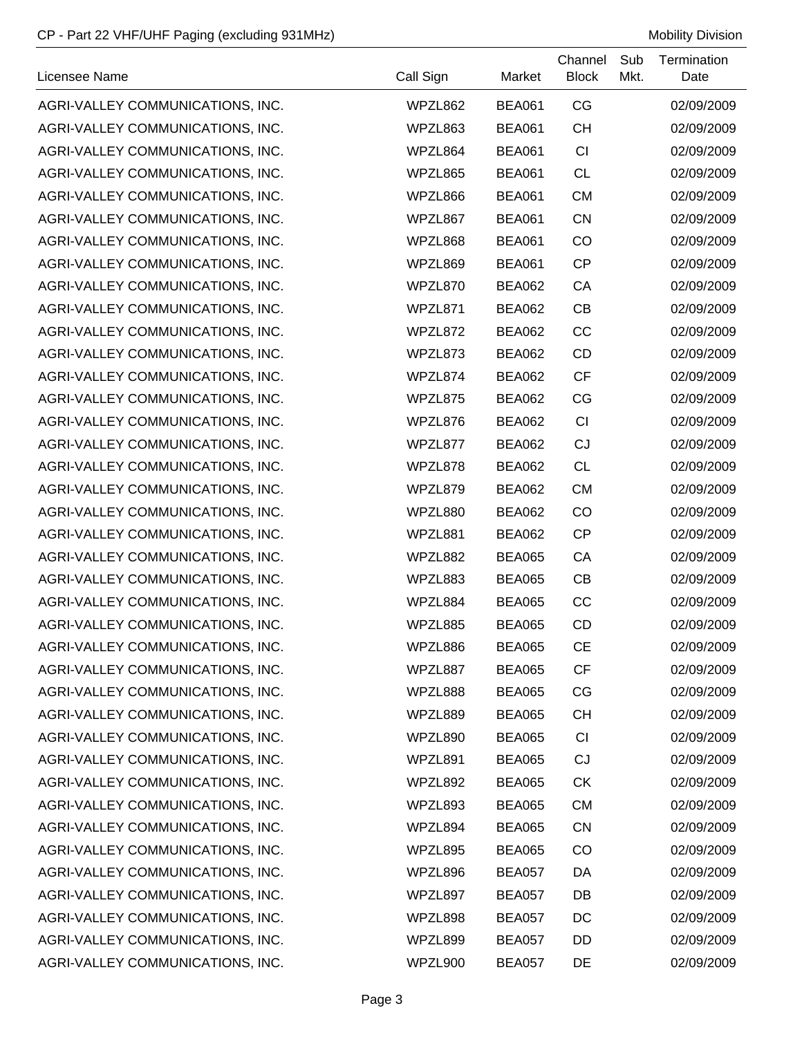| Licensee Name                    | Call Sign | Market        | Channel<br><b>Block</b> | Sub<br>Mkt. | Termination<br>Date |
|----------------------------------|-----------|---------------|-------------------------|-------------|---------------------|
| AGRI-VALLEY COMMUNICATIONS, INC. | WPZL862   | <b>BEA061</b> | CG                      |             | 02/09/2009          |
| AGRI-VALLEY COMMUNICATIONS, INC. | WPZL863   | <b>BEA061</b> | <b>CH</b>               |             | 02/09/2009          |
| AGRI-VALLEY COMMUNICATIONS, INC. | WPZL864   | <b>BEA061</b> | CI                      |             | 02/09/2009          |
| AGRI-VALLEY COMMUNICATIONS, INC. | WPZL865   | <b>BEA061</b> | <b>CL</b>               |             | 02/09/2009          |
| AGRI-VALLEY COMMUNICATIONS, INC. | WPZL866   | <b>BEA061</b> | <b>CM</b>               |             | 02/09/2009          |
| AGRI-VALLEY COMMUNICATIONS, INC. | WPZL867   | <b>BEA061</b> | <b>CN</b>               |             | 02/09/2009          |
| AGRI-VALLEY COMMUNICATIONS, INC. | WPZL868   | <b>BEA061</b> | CO                      |             | 02/09/2009          |
| AGRI-VALLEY COMMUNICATIONS, INC. | WPZL869   | <b>BEA061</b> | <b>CP</b>               |             | 02/09/2009          |
| AGRI-VALLEY COMMUNICATIONS, INC. | WPZL870   | BEA062        | CA                      |             | 02/09/2009          |
| AGRI-VALLEY COMMUNICATIONS, INC. | WPZL871   | <b>BEA062</b> | CB                      |             | 02/09/2009          |
| AGRI-VALLEY COMMUNICATIONS, INC. | WPZL872   | <b>BEA062</b> | CC                      |             | 02/09/2009          |
| AGRI-VALLEY COMMUNICATIONS, INC. | WPZL873   | BEA062        | CD                      |             | 02/09/2009          |
| AGRI-VALLEY COMMUNICATIONS, INC. | WPZL874   | <b>BEA062</b> | <b>CF</b>               |             | 02/09/2009          |
| AGRI-VALLEY COMMUNICATIONS, INC. | WPZL875   | <b>BEA062</b> | CG                      |             | 02/09/2009          |
| AGRI-VALLEY COMMUNICATIONS, INC. | WPZL876   | <b>BEA062</b> | CI                      |             | 02/09/2009          |
| AGRI-VALLEY COMMUNICATIONS, INC. | WPZL877   | <b>BEA062</b> | CJ                      |             | 02/09/2009          |
| AGRI-VALLEY COMMUNICATIONS, INC. | WPZL878   | <b>BEA062</b> | <b>CL</b>               |             | 02/09/2009          |
| AGRI-VALLEY COMMUNICATIONS, INC. | WPZL879   | <b>BEA062</b> | <b>CM</b>               |             | 02/09/2009          |
| AGRI-VALLEY COMMUNICATIONS, INC. | WPZL880   | BEA062        | CO                      |             | 02/09/2009          |
| AGRI-VALLEY COMMUNICATIONS, INC. | WPZL881   | <b>BEA062</b> | <b>CP</b>               |             | 02/09/2009          |
| AGRI-VALLEY COMMUNICATIONS, INC. | WPZL882   | <b>BEA065</b> | CA                      |             | 02/09/2009          |
| AGRI-VALLEY COMMUNICATIONS, INC. | WPZL883   | <b>BEA065</b> | CB                      |             | 02/09/2009          |
| AGRI-VALLEY COMMUNICATIONS, INC. | WPZL884   | <b>BEA065</b> | CC                      |             | 02/09/2009          |
| AGRI-VALLEY COMMUNICATIONS, INC. | WPZL885   | <b>BEA065</b> | CD                      |             | 02/09/2009          |
| AGRI-VALLEY COMMUNICATIONS, INC. | WPZL886   | <b>BEA065</b> | <b>CE</b>               |             | 02/09/2009          |
| AGRI-VALLEY COMMUNICATIONS, INC. | WPZL887   | <b>BEA065</b> | <b>CF</b>               |             | 02/09/2009          |
| AGRI-VALLEY COMMUNICATIONS, INC. | WPZL888   | <b>BEA065</b> | CG                      |             | 02/09/2009          |
| AGRI-VALLEY COMMUNICATIONS, INC. | WPZL889   | <b>BEA065</b> | <b>CH</b>               |             | 02/09/2009          |
| AGRI-VALLEY COMMUNICATIONS, INC. | WPZL890   | <b>BEA065</b> | CI                      |             | 02/09/2009          |
| AGRI-VALLEY COMMUNICATIONS, INC. | WPZL891   | <b>BEA065</b> | CJ                      |             | 02/09/2009          |
| AGRI-VALLEY COMMUNICATIONS, INC. | WPZL892   | <b>BEA065</b> | <b>CK</b>               |             | 02/09/2009          |
| AGRI-VALLEY COMMUNICATIONS, INC. | WPZL893   | <b>BEA065</b> | <b>CM</b>               |             | 02/09/2009          |
| AGRI-VALLEY COMMUNICATIONS, INC. | WPZL894   | <b>BEA065</b> | <b>CN</b>               |             | 02/09/2009          |
| AGRI-VALLEY COMMUNICATIONS, INC. | WPZL895   | <b>BEA065</b> | CO                      |             | 02/09/2009          |
| AGRI-VALLEY COMMUNICATIONS, INC. | WPZL896   | <b>BEA057</b> | DA                      |             | 02/09/2009          |
| AGRI-VALLEY COMMUNICATIONS, INC. | WPZL897   | <b>BEA057</b> | DB                      |             | 02/09/2009          |
| AGRI-VALLEY COMMUNICATIONS, INC. | WPZL898   | <b>BEA057</b> | DC                      |             | 02/09/2009          |
| AGRI-VALLEY COMMUNICATIONS, INC. | WPZL899   | <b>BEA057</b> | DD                      |             | 02/09/2009          |
| AGRI-VALLEY COMMUNICATIONS, INC. | WPZL900   | <b>BEA057</b> | DE                      |             | 02/09/2009          |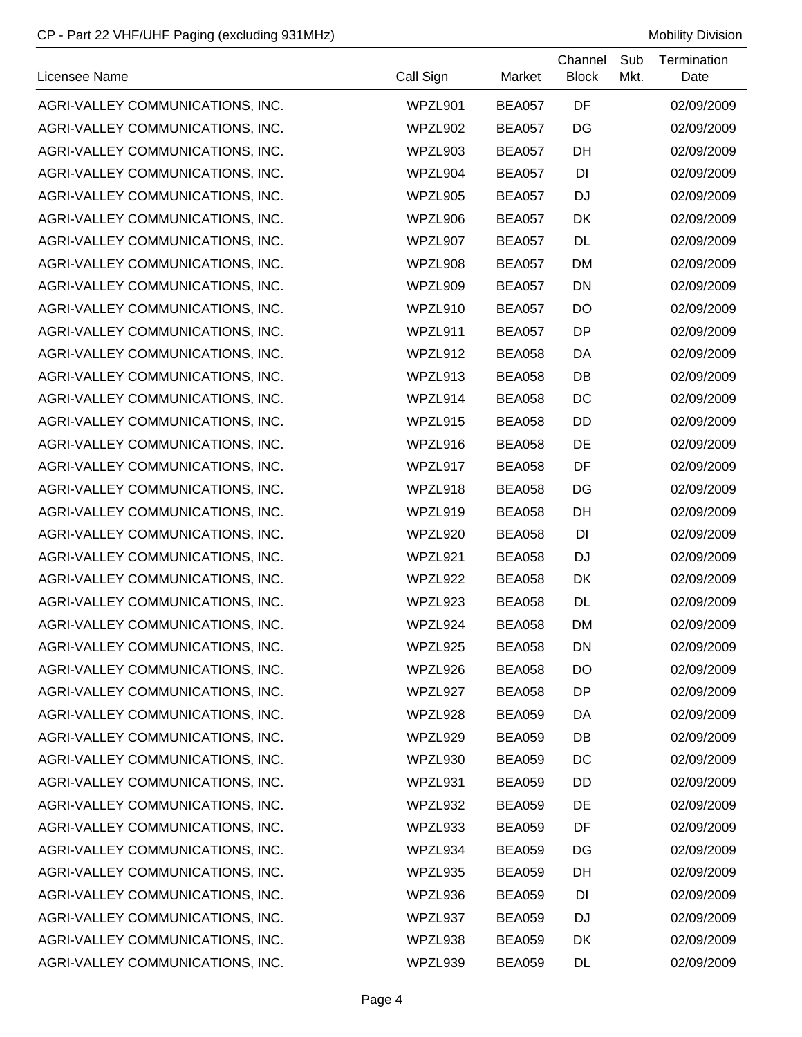| Licensee Name                    | Call Sign | Market        | Channel<br><b>Block</b> | Sub<br>Mkt. | Termination<br>Date |
|----------------------------------|-----------|---------------|-------------------------|-------------|---------------------|
| AGRI-VALLEY COMMUNICATIONS, INC. | WPZL901   | <b>BEA057</b> | DF                      |             | 02/09/2009          |
| AGRI-VALLEY COMMUNICATIONS, INC. | WPZL902   | <b>BEA057</b> | DG                      |             | 02/09/2009          |
| AGRI-VALLEY COMMUNICATIONS, INC. | WPZL903   | <b>BEA057</b> | DH                      |             | 02/09/2009          |
| AGRI-VALLEY COMMUNICATIONS, INC. | WPZL904   | <b>BEA057</b> | DI                      |             | 02/09/2009          |
| AGRI-VALLEY COMMUNICATIONS, INC. | WPZL905   | <b>BEA057</b> | <b>DJ</b>               |             | 02/09/2009          |
| AGRI-VALLEY COMMUNICATIONS, INC. | WPZL906   | <b>BEA057</b> | DK                      |             | 02/09/2009          |
| AGRI-VALLEY COMMUNICATIONS, INC. | WPZL907   | <b>BEA057</b> | <b>DL</b>               |             | 02/09/2009          |
| AGRI-VALLEY COMMUNICATIONS, INC. | WPZL908   | <b>BEA057</b> | <b>DM</b>               |             | 02/09/2009          |
| AGRI-VALLEY COMMUNICATIONS, INC. | WPZL909   | <b>BEA057</b> | <b>DN</b>               |             | 02/09/2009          |
| AGRI-VALLEY COMMUNICATIONS, INC. | WPZL910   | <b>BEA057</b> | DO                      |             | 02/09/2009          |
| AGRI-VALLEY COMMUNICATIONS, INC. | WPZL911   | <b>BEA057</b> | DP                      |             | 02/09/2009          |
| AGRI-VALLEY COMMUNICATIONS, INC. | WPZL912   | <b>BEA058</b> | DA                      |             | 02/09/2009          |
| AGRI-VALLEY COMMUNICATIONS, INC. | WPZL913   | BEA058        | DB                      |             | 02/09/2009          |
| AGRI-VALLEY COMMUNICATIONS, INC. | WPZL914   | <b>BEA058</b> | DC                      |             | 02/09/2009          |
| AGRI-VALLEY COMMUNICATIONS, INC. | WPZL915   | <b>BEA058</b> | DD                      |             | 02/09/2009          |
| AGRI-VALLEY COMMUNICATIONS, INC. | WPZL916   | <b>BEA058</b> | DE                      |             | 02/09/2009          |
| AGRI-VALLEY COMMUNICATIONS, INC. | WPZL917   | <b>BEA058</b> | DF                      |             | 02/09/2009          |
| AGRI-VALLEY COMMUNICATIONS, INC. | WPZL918   | <b>BEA058</b> | DG                      |             | 02/09/2009          |
| AGRI-VALLEY COMMUNICATIONS, INC. | WPZL919   | <b>BEA058</b> | DH                      |             | 02/09/2009          |
| AGRI-VALLEY COMMUNICATIONS, INC. | WPZL920   | <b>BEA058</b> | DI                      |             | 02/09/2009          |
| AGRI-VALLEY COMMUNICATIONS, INC. | WPZL921   | <b>BEA058</b> | <b>DJ</b>               |             | 02/09/2009          |
| AGRI-VALLEY COMMUNICATIONS, INC. | WPZL922   | <b>BEA058</b> | DK                      |             | 02/09/2009          |
| AGRI-VALLEY COMMUNICATIONS, INC. | WPZL923   | <b>BEA058</b> | <b>DL</b>               |             | 02/09/2009          |
| AGRI-VALLEY COMMUNICATIONS, INC. | WPZL924   | <b>BEA058</b> | <b>DM</b>               |             | 02/09/2009          |
| AGRI-VALLEY COMMUNICATIONS, INC. | WPZL925   | <b>BEA058</b> | DN                      |             | 02/09/2009          |
| AGRI-VALLEY COMMUNICATIONS, INC. | WPZL926   | <b>BEA058</b> | DO                      |             | 02/09/2009          |
| AGRI-VALLEY COMMUNICATIONS, INC. | WPZL927   | <b>BEA058</b> | DP                      |             | 02/09/2009          |
| AGRI-VALLEY COMMUNICATIONS, INC. | WPZL928   | <b>BEA059</b> | DA                      |             | 02/09/2009          |
| AGRI-VALLEY COMMUNICATIONS, INC. | WPZL929   | <b>BEA059</b> | DB                      |             | 02/09/2009          |
| AGRI-VALLEY COMMUNICATIONS, INC. | WPZL930   | <b>BEA059</b> | DC                      |             | 02/09/2009          |
| AGRI-VALLEY COMMUNICATIONS, INC. | WPZL931   | <b>BEA059</b> | DD                      |             | 02/09/2009          |
| AGRI-VALLEY COMMUNICATIONS, INC. | WPZL932   | <b>BEA059</b> | DE                      |             | 02/09/2009          |
| AGRI-VALLEY COMMUNICATIONS, INC. | WPZL933   | <b>BEA059</b> | DF                      |             | 02/09/2009          |
| AGRI-VALLEY COMMUNICATIONS, INC. | WPZL934   | <b>BEA059</b> | DG                      |             | 02/09/2009          |
| AGRI-VALLEY COMMUNICATIONS, INC. | WPZL935   | <b>BEA059</b> | DH                      |             | 02/09/2009          |
| AGRI-VALLEY COMMUNICATIONS, INC. | WPZL936   | <b>BEA059</b> | DI                      |             | 02/09/2009          |
| AGRI-VALLEY COMMUNICATIONS, INC. | WPZL937   | <b>BEA059</b> | <b>DJ</b>               |             | 02/09/2009          |
| AGRI-VALLEY COMMUNICATIONS, INC. | WPZL938   | <b>BEA059</b> | DK                      |             | 02/09/2009          |
| AGRI-VALLEY COMMUNICATIONS, INC. | WPZL939   | <b>BEA059</b> | DL                      |             | 02/09/2009          |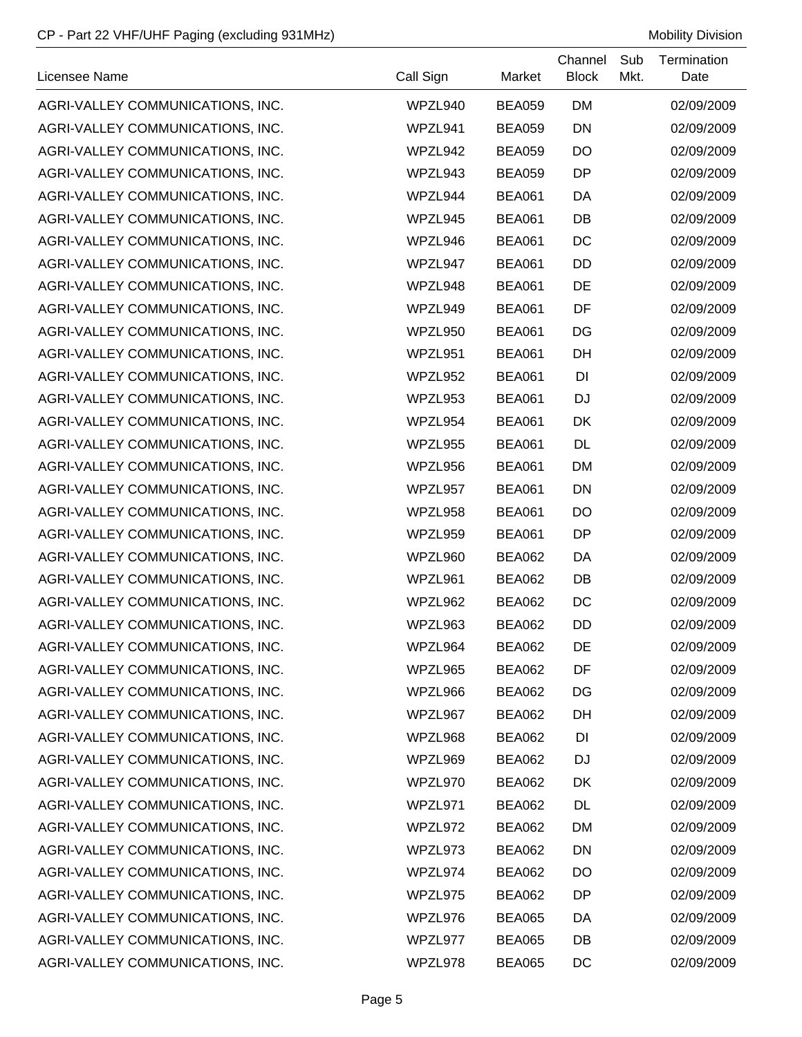| Licensee Name                    | Call Sign | Market        | Channel<br><b>Block</b> | Sub<br>Mkt. | Termination<br>Date |
|----------------------------------|-----------|---------------|-------------------------|-------------|---------------------|
| AGRI-VALLEY COMMUNICATIONS, INC. | WPZL940   | <b>BEA059</b> | <b>DM</b>               |             | 02/09/2009          |
| AGRI-VALLEY COMMUNICATIONS, INC. | WPZL941   | <b>BEA059</b> | <b>DN</b>               |             | 02/09/2009          |
| AGRI-VALLEY COMMUNICATIONS, INC. | WPZL942   | <b>BEA059</b> | DO                      |             | 02/09/2009          |
| AGRI-VALLEY COMMUNICATIONS, INC. | WPZL943   | <b>BEA059</b> | DP                      |             | 02/09/2009          |
| AGRI-VALLEY COMMUNICATIONS, INC. | WPZL944   | <b>BEA061</b> | DA                      |             | 02/09/2009          |
| AGRI-VALLEY COMMUNICATIONS, INC. | WPZL945   | <b>BEA061</b> | DB                      |             | 02/09/2009          |
| AGRI-VALLEY COMMUNICATIONS, INC. | WPZL946   | <b>BEA061</b> | DC                      |             | 02/09/2009          |
| AGRI-VALLEY COMMUNICATIONS, INC. | WPZL947   | <b>BEA061</b> | <b>DD</b>               |             | 02/09/2009          |
| AGRI-VALLEY COMMUNICATIONS, INC. | WPZL948   | <b>BEA061</b> | DE                      |             | 02/09/2009          |
| AGRI-VALLEY COMMUNICATIONS, INC. | WPZL949   | <b>BEA061</b> | DF                      |             | 02/09/2009          |
| AGRI-VALLEY COMMUNICATIONS, INC. | WPZL950   | <b>BEA061</b> | DG                      |             | 02/09/2009          |
| AGRI-VALLEY COMMUNICATIONS, INC. | WPZL951   | <b>BEA061</b> | DH                      |             | 02/09/2009          |
| AGRI-VALLEY COMMUNICATIONS, INC. | WPZL952   | <b>BEA061</b> | DI                      |             | 02/09/2009          |
| AGRI-VALLEY COMMUNICATIONS, INC. | WPZL953   | <b>BEA061</b> | <b>DJ</b>               |             | 02/09/2009          |
| AGRI-VALLEY COMMUNICATIONS, INC. | WPZL954   | <b>BEA061</b> | DK                      |             | 02/09/2009          |
| AGRI-VALLEY COMMUNICATIONS, INC. | WPZL955   | <b>BEA061</b> | DL                      |             | 02/09/2009          |
| AGRI-VALLEY COMMUNICATIONS, INC. | WPZL956   | <b>BEA061</b> | <b>DM</b>               |             | 02/09/2009          |
| AGRI-VALLEY COMMUNICATIONS, INC. | WPZL957   | <b>BEA061</b> | <b>DN</b>               |             | 02/09/2009          |
| AGRI-VALLEY COMMUNICATIONS, INC. | WPZL958   | <b>BEA061</b> | DO                      |             | 02/09/2009          |
| AGRI-VALLEY COMMUNICATIONS, INC. | WPZL959   | <b>BEA061</b> | DP                      |             | 02/09/2009          |
| AGRI-VALLEY COMMUNICATIONS, INC. | WPZL960   | <b>BEA062</b> | DA                      |             | 02/09/2009          |
| AGRI-VALLEY COMMUNICATIONS, INC. | WPZL961   | <b>BEA062</b> | DB                      |             | 02/09/2009          |
| AGRI-VALLEY COMMUNICATIONS, INC. | WPZL962   | <b>BEA062</b> | DC                      |             | 02/09/2009          |
| AGRI-VALLEY COMMUNICATIONS, INC. | WPZL963   | <b>BEA062</b> | DD                      |             | 02/09/2009          |
| AGRI-VALLEY COMMUNICATIONS, INC. | WPZL964   | <b>BEA062</b> | DE                      |             | 02/09/2009          |
| AGRI-VALLEY COMMUNICATIONS, INC. | WPZL965   | <b>BEA062</b> | DF                      |             | 02/09/2009          |
| AGRI-VALLEY COMMUNICATIONS, INC. | WPZL966   | BEA062        | DG                      |             | 02/09/2009          |
| AGRI-VALLEY COMMUNICATIONS, INC. | WPZL967   | <b>BEA062</b> | DH                      |             | 02/09/2009          |
| AGRI-VALLEY COMMUNICATIONS, INC. | WPZL968   | <b>BEA062</b> | DI                      |             | 02/09/2009          |
| AGRI-VALLEY COMMUNICATIONS, INC. | WPZL969   | <b>BEA062</b> | DJ                      |             | 02/09/2009          |
| AGRI-VALLEY COMMUNICATIONS, INC. | WPZL970   | <b>BEA062</b> | DK                      |             | 02/09/2009          |
| AGRI-VALLEY COMMUNICATIONS, INC. | WPZL971   | <b>BEA062</b> | <b>DL</b>               |             | 02/09/2009          |
| AGRI-VALLEY COMMUNICATIONS, INC. | WPZL972   | <b>BEA062</b> | <b>DM</b>               |             | 02/09/2009          |
| AGRI-VALLEY COMMUNICATIONS, INC. | WPZL973   | <b>BEA062</b> | <b>DN</b>               |             | 02/09/2009          |
| AGRI-VALLEY COMMUNICATIONS, INC. | WPZL974   | <b>BEA062</b> | DO                      |             | 02/09/2009          |
| AGRI-VALLEY COMMUNICATIONS, INC. | WPZL975   | BEA062        | DP                      |             | 02/09/2009          |
| AGRI-VALLEY COMMUNICATIONS, INC. | WPZL976   | <b>BEA065</b> | DA                      |             | 02/09/2009          |
| AGRI-VALLEY COMMUNICATIONS, INC. | WPZL977   | <b>BEA065</b> | DB                      |             | 02/09/2009          |
| AGRI-VALLEY COMMUNICATIONS, INC. | WPZL978   | <b>BEA065</b> | DC                      |             | 02/09/2009          |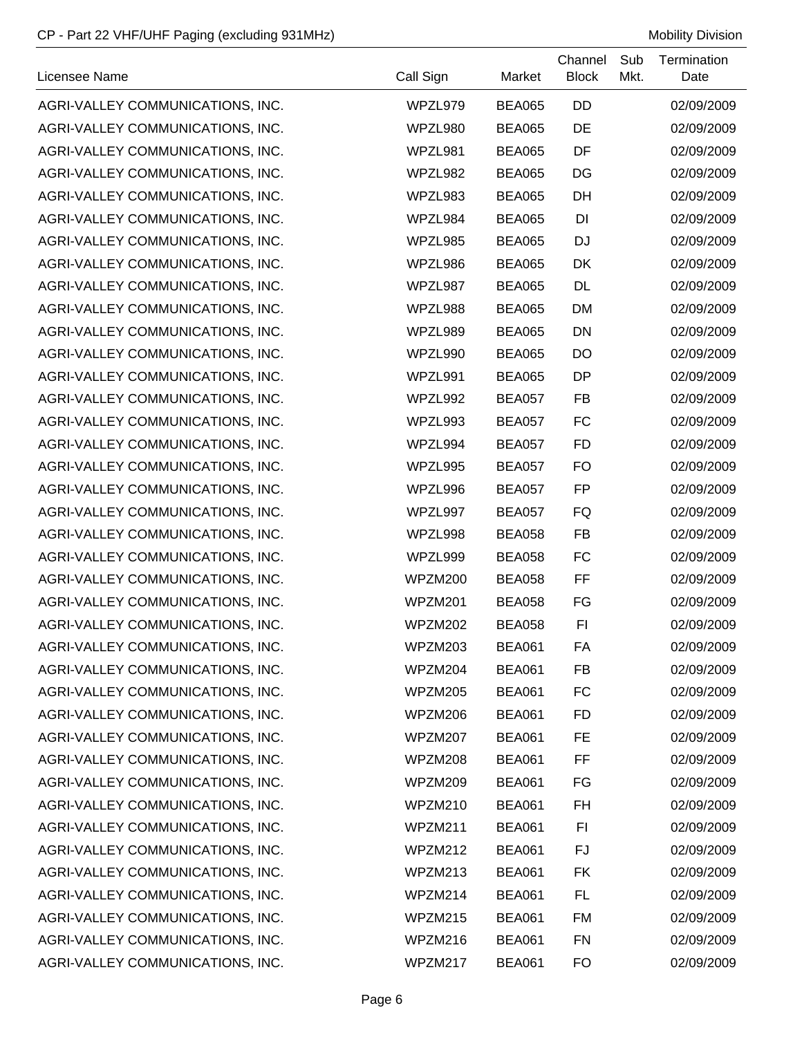| Licensee Name                    | Call Sign | Market        | Channel<br><b>Block</b> | Sub<br>Mkt. | Termination<br>Date |
|----------------------------------|-----------|---------------|-------------------------|-------------|---------------------|
| AGRI-VALLEY COMMUNICATIONS, INC. | WPZL979   | <b>BEA065</b> | DD                      |             | 02/09/2009          |
| AGRI-VALLEY COMMUNICATIONS, INC. | WPZL980   | <b>BEA065</b> | DE                      |             | 02/09/2009          |
| AGRI-VALLEY COMMUNICATIONS, INC. | WPZL981   | <b>BEA065</b> | DF                      |             | 02/09/2009          |
| AGRI-VALLEY COMMUNICATIONS, INC. | WPZL982   | <b>BEA065</b> | DG                      |             | 02/09/2009          |
| AGRI-VALLEY COMMUNICATIONS, INC. | WPZL983   | <b>BEA065</b> | DH                      |             | 02/09/2009          |
| AGRI-VALLEY COMMUNICATIONS, INC. | WPZL984   | <b>BEA065</b> | DI                      |             | 02/09/2009          |
| AGRI-VALLEY COMMUNICATIONS, INC. | WPZL985   | <b>BEA065</b> | <b>DJ</b>               |             | 02/09/2009          |
| AGRI-VALLEY COMMUNICATIONS, INC. | WPZL986   | <b>BEA065</b> | DK                      |             | 02/09/2009          |
| AGRI-VALLEY COMMUNICATIONS, INC. | WPZL987   | <b>BEA065</b> | DL                      |             | 02/09/2009          |
| AGRI-VALLEY COMMUNICATIONS, INC. | WPZL988   | <b>BEA065</b> | <b>DM</b>               |             | 02/09/2009          |
| AGRI-VALLEY COMMUNICATIONS, INC. | WPZL989   | <b>BEA065</b> | <b>DN</b>               |             | 02/09/2009          |
| AGRI-VALLEY COMMUNICATIONS, INC. | WPZL990   | <b>BEA065</b> | DO                      |             | 02/09/2009          |
| AGRI-VALLEY COMMUNICATIONS, INC. | WPZL991   | <b>BEA065</b> | DP                      |             | 02/09/2009          |
| AGRI-VALLEY COMMUNICATIONS, INC. | WPZL992   | <b>BEA057</b> | <b>FB</b>               |             | 02/09/2009          |
| AGRI-VALLEY COMMUNICATIONS, INC. | WPZL993   | <b>BEA057</b> | <b>FC</b>               |             | 02/09/2009          |
| AGRI-VALLEY COMMUNICATIONS, INC. | WPZL994   | <b>BEA057</b> | <b>FD</b>               |             | 02/09/2009          |
| AGRI-VALLEY COMMUNICATIONS, INC. | WPZL995   | BEA057        | <b>FO</b>               |             | 02/09/2009          |
| AGRI-VALLEY COMMUNICATIONS, INC. | WPZL996   | <b>BEA057</b> | <b>FP</b>               |             | 02/09/2009          |
| AGRI-VALLEY COMMUNICATIONS, INC. | WPZL997   | <b>BEA057</b> | FQ                      |             | 02/09/2009          |
| AGRI-VALLEY COMMUNICATIONS, INC. | WPZL998   | <b>BEA058</b> | <b>FB</b>               |             | 02/09/2009          |
| AGRI-VALLEY COMMUNICATIONS, INC. | WPZL999   | <b>BEA058</b> | <b>FC</b>               |             | 02/09/2009          |
| AGRI-VALLEY COMMUNICATIONS, INC. | WPZM200   | <b>BEA058</b> | FF                      |             | 02/09/2009          |
| AGRI-VALLEY COMMUNICATIONS, INC. | WPZM201   | <b>BEA058</b> | FG                      |             | 02/09/2009          |
| AGRI-VALLEY COMMUNICATIONS, INC. | WPZM202   | <b>BEA058</b> | FI                      |             | 02/09/2009          |
| AGRI-VALLEY COMMUNICATIONS, INC. | WPZM203   | <b>BEA061</b> | FA                      |             | 02/09/2009          |
| AGRI-VALLEY COMMUNICATIONS, INC. | WPZM204   | <b>BEA061</b> | FB                      |             | 02/09/2009          |
| AGRI-VALLEY COMMUNICATIONS, INC. | WPZM205   | <b>BEA061</b> | FC                      |             | 02/09/2009          |
| AGRI-VALLEY COMMUNICATIONS, INC. | WPZM206   | <b>BEA061</b> | <b>FD</b>               |             | 02/09/2009          |
| AGRI-VALLEY COMMUNICATIONS, INC. | WPZM207   | <b>BEA061</b> | FE                      |             | 02/09/2009          |
| AGRI-VALLEY COMMUNICATIONS, INC. | WPZM208   | <b>BEA061</b> | FF                      |             | 02/09/2009          |
| AGRI-VALLEY COMMUNICATIONS, INC. | WPZM209   | <b>BEA061</b> | FG                      |             | 02/09/2009          |
| AGRI-VALLEY COMMUNICATIONS, INC. | WPZM210   | <b>BEA061</b> | FH                      |             | 02/09/2009          |
| AGRI-VALLEY COMMUNICATIONS, INC. | WPZM211   | <b>BEA061</b> | FI                      |             | 02/09/2009          |
| AGRI-VALLEY COMMUNICATIONS, INC. | WPZM212   | <b>BEA061</b> | FJ                      |             | 02/09/2009          |
| AGRI-VALLEY COMMUNICATIONS, INC. | WPZM213   | <b>BEA061</b> | <b>FK</b>               |             | 02/09/2009          |
| AGRI-VALLEY COMMUNICATIONS, INC. | WPZM214   | <b>BEA061</b> | FL                      |             | 02/09/2009          |
| AGRI-VALLEY COMMUNICATIONS, INC. | WPZM215   | <b>BEA061</b> | <b>FM</b>               |             | 02/09/2009          |
| AGRI-VALLEY COMMUNICATIONS, INC. | WPZM216   | <b>BEA061</b> | <b>FN</b>               |             | 02/09/2009          |
| AGRI-VALLEY COMMUNICATIONS, INC. | WPZM217   | <b>BEA061</b> | FO                      |             | 02/09/2009          |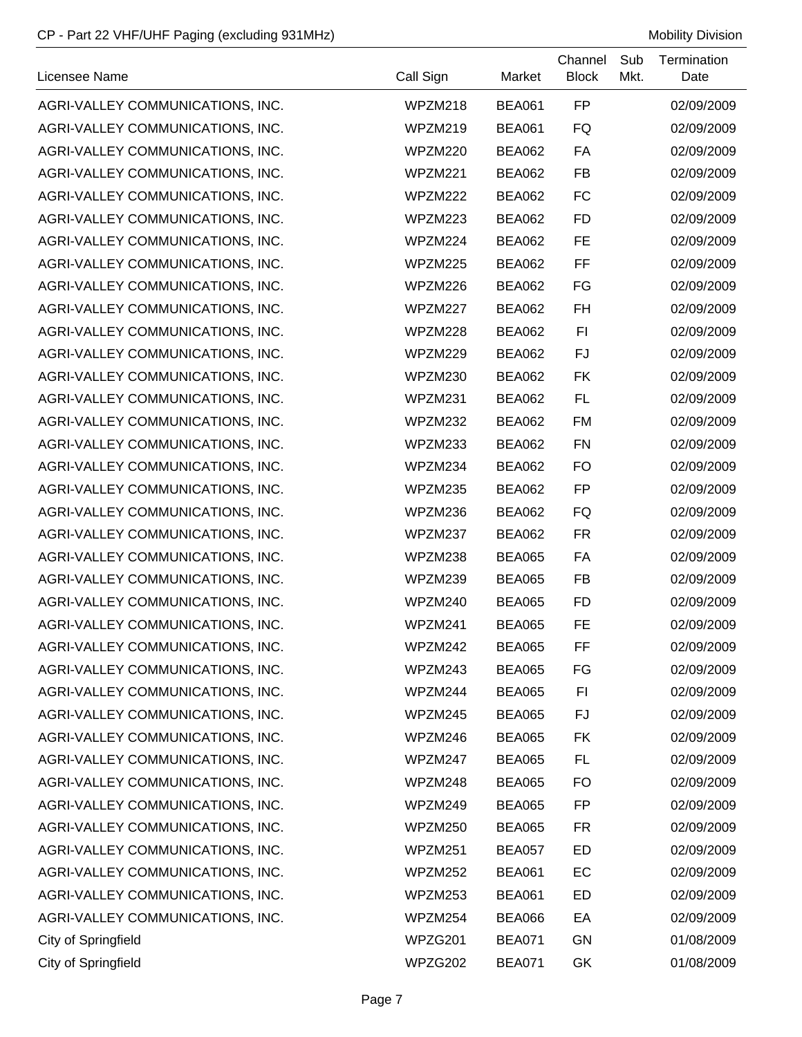| Licensee Name                    | Call Sign | Market        | Channel<br><b>Block</b> | Sub<br>Mkt. | Termination<br>Date |
|----------------------------------|-----------|---------------|-------------------------|-------------|---------------------|
| AGRI-VALLEY COMMUNICATIONS, INC. | WPZM218   | <b>BEA061</b> | FP                      |             | 02/09/2009          |
| AGRI-VALLEY COMMUNICATIONS, INC. | WPZM219   | <b>BEA061</b> | FQ                      |             | 02/09/2009          |
| AGRI-VALLEY COMMUNICATIONS, INC. | WPZM220   | <b>BEA062</b> | FA                      |             | 02/09/2009          |
| AGRI-VALLEY COMMUNICATIONS, INC. | WPZM221   | <b>BEA062</b> | <b>FB</b>               |             | 02/09/2009          |
| AGRI-VALLEY COMMUNICATIONS, INC. | WPZM222   | <b>BEA062</b> | <b>FC</b>               |             | 02/09/2009          |
| AGRI-VALLEY COMMUNICATIONS, INC. | WPZM223   | <b>BEA062</b> | <b>FD</b>               |             | 02/09/2009          |
| AGRI-VALLEY COMMUNICATIONS, INC. | WPZM224   | <b>BEA062</b> | <b>FE</b>               |             | 02/09/2009          |
| AGRI-VALLEY COMMUNICATIONS, INC. | WPZM225   | <b>BEA062</b> | FF                      |             | 02/09/2009          |
| AGRI-VALLEY COMMUNICATIONS, INC. | WPZM226   | <b>BEA062</b> | FG                      |             | 02/09/2009          |
| AGRI-VALLEY COMMUNICATIONS, INC. | WPZM227   | <b>BEA062</b> | <b>FH</b>               |             | 02/09/2009          |
| AGRI-VALLEY COMMUNICATIONS, INC. | WPZM228   | <b>BEA062</b> | F1                      |             | 02/09/2009          |
| AGRI-VALLEY COMMUNICATIONS, INC. | WPZM229   | <b>BEA062</b> | <b>FJ</b>               |             | 02/09/2009          |
| AGRI-VALLEY COMMUNICATIONS, INC. | WPZM230   | <b>BEA062</b> | <b>FK</b>               |             | 02/09/2009          |
| AGRI-VALLEY COMMUNICATIONS, INC. | WPZM231   | <b>BEA062</b> | <b>FL</b>               |             | 02/09/2009          |
| AGRI-VALLEY COMMUNICATIONS, INC. | WPZM232   | <b>BEA062</b> | <b>FM</b>               |             | 02/09/2009          |
| AGRI-VALLEY COMMUNICATIONS, INC. | WPZM233   | <b>BEA062</b> | <b>FN</b>               |             | 02/09/2009          |
| AGRI-VALLEY COMMUNICATIONS, INC. | WPZM234   | <b>BEA062</b> | <b>FO</b>               |             | 02/09/2009          |
| AGRI-VALLEY COMMUNICATIONS, INC. | WPZM235   | <b>BEA062</b> | <b>FP</b>               |             | 02/09/2009          |
| AGRI-VALLEY COMMUNICATIONS, INC. | WPZM236   | <b>BEA062</b> | FQ                      |             | 02/09/2009          |
| AGRI-VALLEY COMMUNICATIONS, INC. | WPZM237   | <b>BEA062</b> | <b>FR</b>               |             | 02/09/2009          |
| AGRI-VALLEY COMMUNICATIONS, INC. | WPZM238   | <b>BEA065</b> | FA                      |             | 02/09/2009          |
| AGRI-VALLEY COMMUNICATIONS, INC. | WPZM239   | <b>BEA065</b> | <b>FB</b>               |             | 02/09/2009          |
| AGRI-VALLEY COMMUNICATIONS, INC. | WPZM240   | <b>BEA065</b> | <b>FD</b>               |             | 02/09/2009          |
| AGRI-VALLEY COMMUNICATIONS, INC. | WPZM241   | <b>BEA065</b> | <b>FE</b>               |             | 02/09/2009          |
| AGRI-VALLEY COMMUNICATIONS, INC. | WPZM242   | <b>BEA065</b> | FF                      |             | 02/09/2009          |
| AGRI-VALLEY COMMUNICATIONS, INC. | WPZM243   | <b>BEA065</b> | FG                      |             | 02/09/2009          |
| AGRI-VALLEY COMMUNICATIONS, INC. | WPZM244   | <b>BEA065</b> | FI                      |             | 02/09/2009          |
| AGRI-VALLEY COMMUNICATIONS, INC. | WPZM245   | <b>BEA065</b> | FJ                      |             | 02/09/2009          |
| AGRI-VALLEY COMMUNICATIONS, INC. | WPZM246   | <b>BEA065</b> | <b>FK</b>               |             | 02/09/2009          |
| AGRI-VALLEY COMMUNICATIONS, INC. | WPZM247   | <b>BEA065</b> | <b>FL</b>               |             | 02/09/2009          |
| AGRI-VALLEY COMMUNICATIONS, INC. | WPZM248   | <b>BEA065</b> | <b>FO</b>               |             | 02/09/2009          |
| AGRI-VALLEY COMMUNICATIONS, INC. | WPZM249   | <b>BEA065</b> | FP                      |             | 02/09/2009          |
| AGRI-VALLEY COMMUNICATIONS, INC. | WPZM250   | <b>BEA065</b> | <b>FR</b>               |             | 02/09/2009          |
| AGRI-VALLEY COMMUNICATIONS, INC. | WPZM251   | BEA057        | ED                      |             | 02/09/2009          |
| AGRI-VALLEY COMMUNICATIONS, INC. | WPZM252   | <b>BEA061</b> | EC                      |             | 02/09/2009          |
| AGRI-VALLEY COMMUNICATIONS, INC. | WPZM253   | <b>BEA061</b> | ED                      |             | 02/09/2009          |
| AGRI-VALLEY COMMUNICATIONS, INC. | WPZM254   | BEA066        | EA                      |             | 02/09/2009          |
| City of Springfield              | WPZG201   | <b>BEA071</b> | GN                      |             | 01/08/2009          |
| <b>City of Springfield</b>       | WPZG202   | <b>BEA071</b> | GK                      |             | 01/08/2009          |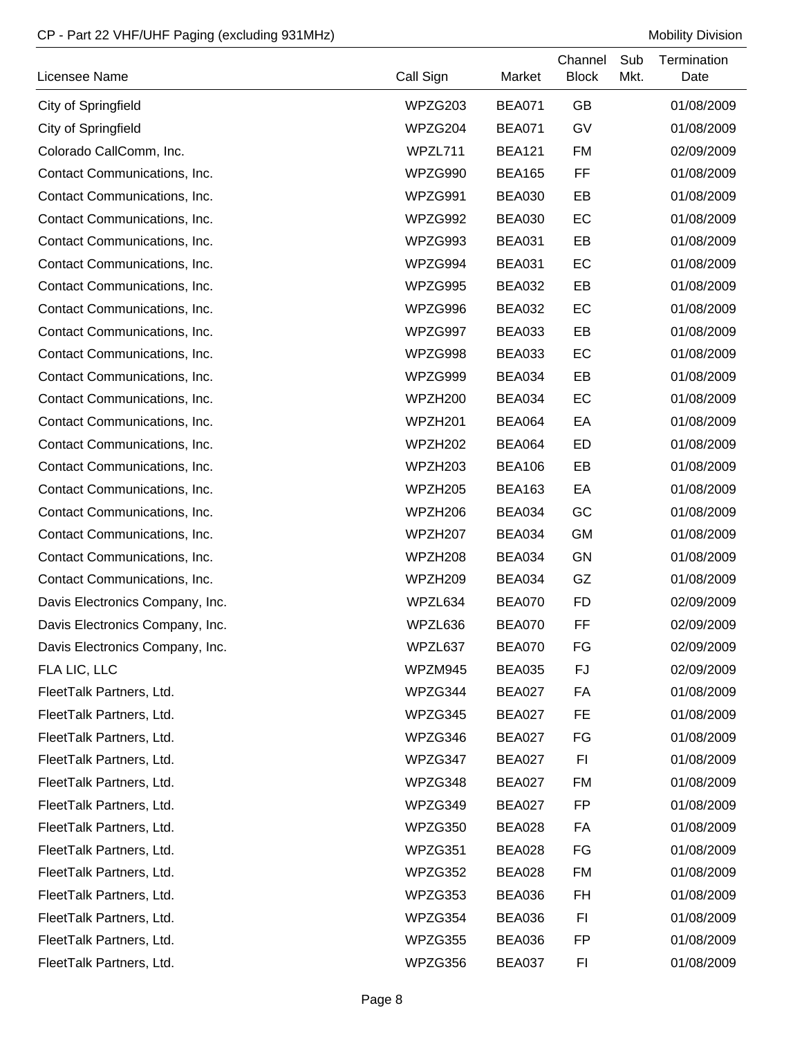| Licensee Name                   | Call Sign           | Market        | Channel<br><b>Block</b> | Sub<br>Mkt. | Termination<br>Date |
|---------------------------------|---------------------|---------------|-------------------------|-------------|---------------------|
| City of Springfield             | WPZG203             | <b>BEA071</b> | <b>GB</b>               |             | 01/08/2009          |
| City of Springfield             | WPZG204             | <b>BEA071</b> | GV                      |             | 01/08/2009          |
| Colorado CallComm, Inc.         | WPZL711             | <b>BEA121</b> | <b>FM</b>               |             | 02/09/2009          |
| Contact Communications, Inc.    | WPZG990             | <b>BEA165</b> | FF                      |             | 01/08/2009          |
| Contact Communications, Inc.    | WPZG991             | BEA030        | EB                      |             | 01/08/2009          |
| Contact Communications, Inc.    | WPZG992             | <b>BEA030</b> | EC                      |             | 01/08/2009          |
| Contact Communications, Inc.    | WPZG993             | <b>BEA031</b> | EB                      |             | 01/08/2009          |
| Contact Communications, Inc.    | WPZG994             | <b>BEA031</b> | EC                      |             | 01/08/2009          |
| Contact Communications, Inc.    | WPZG995             | <b>BEA032</b> | EB                      |             | 01/08/2009          |
| Contact Communications, Inc.    | WPZG996             | <b>BEA032</b> | EC                      |             | 01/08/2009          |
| Contact Communications, Inc.    | WPZG997             | <b>BEA033</b> | EB                      |             | 01/08/2009          |
| Contact Communications, Inc.    | WPZG998             | <b>BEA033</b> | EC                      |             | 01/08/2009          |
| Contact Communications, Inc.    | WPZG999             | <b>BEA034</b> | EB                      |             | 01/08/2009          |
| Contact Communications, Inc.    | WPZH200             | <b>BEA034</b> | EC                      |             | 01/08/2009          |
| Contact Communications, Inc.    | WPZH201             | <b>BEA064</b> | EA                      |             | 01/08/2009          |
| Contact Communications, Inc.    | WPZH <sub>202</sub> | <b>BEA064</b> | ED                      |             | 01/08/2009          |
| Contact Communications, Inc.    | WPZH <sub>203</sub> | <b>BEA106</b> | EB                      |             | 01/08/2009          |
| Contact Communications, Inc.    | WPZH205             | <b>BEA163</b> | EA                      |             | 01/08/2009          |
| Contact Communications, Inc.    | WPZH206             | BEA034        | GC                      |             | 01/08/2009          |
| Contact Communications, Inc.    | WPZH <sub>207</sub> | <b>BEA034</b> | <b>GM</b>               |             | 01/08/2009          |
| Contact Communications, Inc.    | WPZH208             | <b>BEA034</b> | <b>GN</b>               |             | 01/08/2009          |
| Contact Communications, Inc.    | WPZH209             | <b>BEA034</b> | GZ                      |             | 01/08/2009          |
| Davis Electronics Company, Inc. | WPZL634             | <b>BEA070</b> | <b>FD</b>               |             | 02/09/2009          |
| Davis Electronics Company, Inc. | WPZL636             | BEA070        | FF                      |             | 02/09/2009          |
| Davis Electronics Company, Inc. | WPZL637             | <b>BEA070</b> | FG                      |             | 02/09/2009          |
| FLA LIC, LLC                    | WPZM945             | <b>BEA035</b> | FJ                      |             | 02/09/2009          |
| FleetTalk Partners, Ltd.        | WPZG344             | <b>BEA027</b> | FA                      |             | 01/08/2009          |
| FleetTalk Partners, Ltd.        | WPZG345             | <b>BEA027</b> | FE                      |             | 01/08/2009          |
| FleetTalk Partners, Ltd.        | WPZG346             | BEA027        | FG                      |             | 01/08/2009          |
| FleetTalk Partners, Ltd.        | WPZG347             | <b>BEA027</b> | FI                      |             | 01/08/2009          |
| FleetTalk Partners, Ltd.        | WPZG348             | <b>BEA027</b> | <b>FM</b>               |             | 01/08/2009          |
| FleetTalk Partners, Ltd.        | WPZG349             | <b>BEA027</b> | FP                      |             | 01/08/2009          |
| FleetTalk Partners, Ltd.        | WPZG350             | <b>BEA028</b> | FA                      |             | 01/08/2009          |
| FleetTalk Partners, Ltd.        | WPZG351             | <b>BEA028</b> | FG                      |             | 01/08/2009          |
| FleetTalk Partners, Ltd.        | WPZG352             | <b>BEA028</b> | <b>FM</b>               |             | 01/08/2009          |
| FleetTalk Partners, Ltd.        | WPZG353             | <b>BEA036</b> | FH                      |             | 01/08/2009          |
| FleetTalk Partners, Ltd.        | WPZG354             | <b>BEA036</b> | FI                      |             | 01/08/2009          |
| FleetTalk Partners, Ltd.        | WPZG355             | <b>BEA036</b> | FP                      |             | 01/08/2009          |
| FleetTalk Partners, Ltd.        | WPZG356             | <b>BEA037</b> | FI                      |             | 01/08/2009          |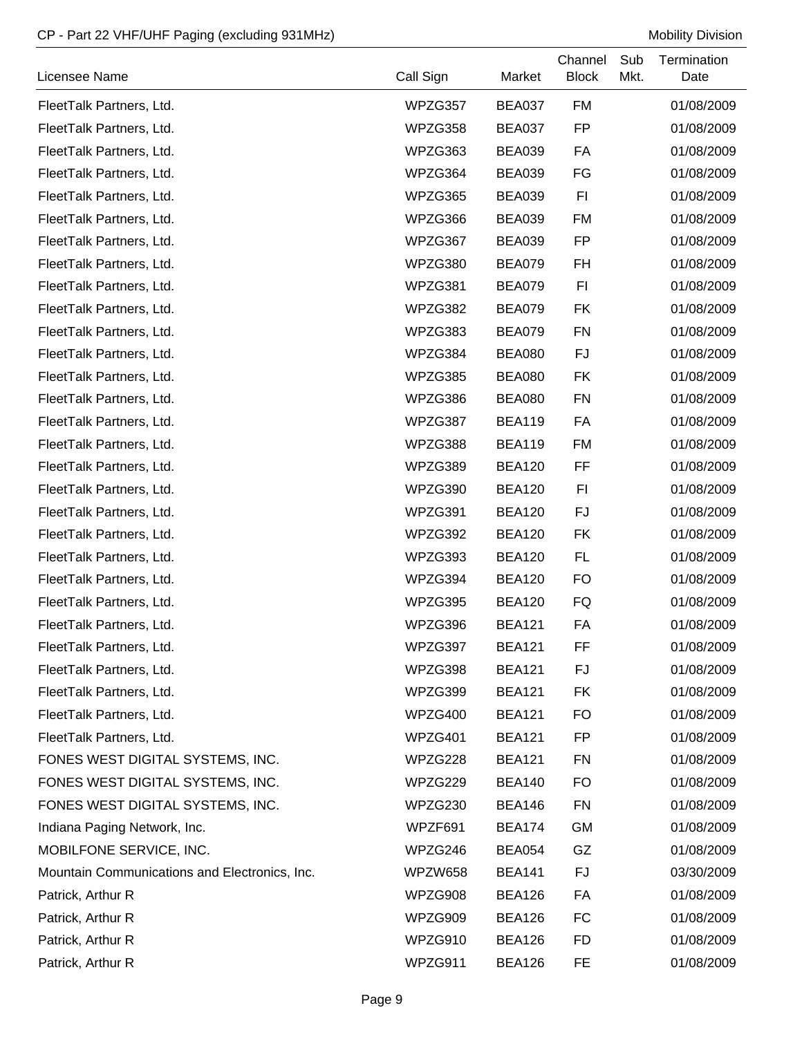| Licensee Name                                 | Call Sign | Market        | Channel<br><b>Block</b> | Sub<br>Mkt. | Termination<br>Date |
|-----------------------------------------------|-----------|---------------|-------------------------|-------------|---------------------|
| FleetTalk Partners, Ltd.                      | WPZG357   | BEA037        | <b>FM</b>               |             | 01/08/2009          |
| FleetTalk Partners, Ltd.                      | WPZG358   | <b>BEA037</b> | <b>FP</b>               |             | 01/08/2009          |
| FleetTalk Partners, Ltd.                      | WPZG363   | <b>BEA039</b> | FA                      |             | 01/08/2009          |
| FleetTalk Partners, Ltd.                      | WPZG364   | <b>BEA039</b> | FG                      |             | 01/08/2009          |
| FleetTalk Partners, Ltd.                      | WPZG365   | <b>BEA039</b> | F1                      |             | 01/08/2009          |
| FleetTalk Partners, Ltd.                      | WPZG366   | <b>BEA039</b> | <b>FM</b>               |             | 01/08/2009          |
| FleetTalk Partners, Ltd.                      | WPZG367   | <b>BEA039</b> | FP                      |             | 01/08/2009          |
| FleetTalk Partners, Ltd.                      | WPZG380   | <b>BEA079</b> | FH                      |             | 01/08/2009          |
| FleetTalk Partners, Ltd.                      | WPZG381   | <b>BEA079</b> | F <sub>1</sub>          |             | 01/08/2009          |
| FleetTalk Partners, Ltd.                      | WPZG382   | <b>BEA079</b> | <b>FK</b>               |             | 01/08/2009          |
| FleetTalk Partners, Ltd.                      | WPZG383   | <b>BEA079</b> | <b>FN</b>               |             | 01/08/2009          |
| FleetTalk Partners, Ltd.                      | WPZG384   | <b>BEA080</b> | FJ                      |             | 01/08/2009          |
| FleetTalk Partners, Ltd.                      | WPZG385   | <b>BEA080</b> | <b>FK</b>               |             | 01/08/2009          |
| FleetTalk Partners, Ltd.                      | WPZG386   | <b>BEA080</b> | <b>FN</b>               |             | 01/08/2009          |
| FleetTalk Partners, Ltd.                      | WPZG387   | <b>BEA119</b> | FA                      |             | 01/08/2009          |
| FleetTalk Partners, Ltd.                      | WPZG388   | <b>BEA119</b> | <b>FM</b>               |             | 01/08/2009          |
| FleetTalk Partners, Ltd.                      | WPZG389   | <b>BEA120</b> | FF                      |             | 01/08/2009          |
| FleetTalk Partners, Ltd.                      | WPZG390   | <b>BEA120</b> | F1                      |             | 01/08/2009          |
| FleetTalk Partners, Ltd.                      | WPZG391   | <b>BEA120</b> | FJ                      |             | 01/08/2009          |
| FleetTalk Partners, Ltd.                      | WPZG392   | <b>BEA120</b> | FK                      |             | 01/08/2009          |
| FleetTalk Partners, Ltd.                      | WPZG393   | <b>BEA120</b> | FL                      |             | 01/08/2009          |
| FleetTalk Partners, Ltd.                      | WPZG394   | <b>BEA120</b> | <b>FO</b>               |             | 01/08/2009          |
| FleetTalk Partners, Ltd.                      | WPZG395   | <b>BEA120</b> | FQ                      |             | 01/08/2009          |
| FleetTalk Partners, Ltd.                      | WPZG396   | <b>BEA121</b> | FA                      |             | 01/08/2009          |
| FleetTalk Partners, Ltd.                      | WPZG397   | <b>BEA121</b> | FF                      |             | 01/08/2009          |
| FleetTalk Partners, Ltd.                      | WPZG398   | <b>BEA121</b> | FJ                      |             | 01/08/2009          |
| FleetTalk Partners, Ltd.                      | WPZG399   | <b>BEA121</b> | FK                      |             | 01/08/2009          |
| FleetTalk Partners, Ltd.                      | WPZG400   | <b>BEA121</b> | <b>FO</b>               |             | 01/08/2009          |
| FleetTalk Partners, Ltd.                      | WPZG401   | <b>BEA121</b> | FP                      |             | 01/08/2009          |
| FONES WEST DIGITAL SYSTEMS, INC.              | WPZG228   | <b>BEA121</b> | <b>FN</b>               |             | 01/08/2009          |
| FONES WEST DIGITAL SYSTEMS, INC.              | WPZG229   | <b>BEA140</b> | <b>FO</b>               |             | 01/08/2009          |
| FONES WEST DIGITAL SYSTEMS, INC.              | WPZG230   | <b>BEA146</b> | <b>FN</b>               |             | 01/08/2009          |
| Indiana Paging Network, Inc.                  | WPZF691   | <b>BEA174</b> | <b>GM</b>               |             | 01/08/2009          |
| MOBILFONE SERVICE, INC.                       | WPZG246   | <b>BEA054</b> | GZ                      |             | 01/08/2009          |
| Mountain Communications and Electronics, Inc. | WPZW658   | <b>BEA141</b> | FJ                      |             | 03/30/2009          |
| Patrick, Arthur R                             | WPZG908   | <b>BEA126</b> | FA                      |             | 01/08/2009          |
| Patrick, Arthur R                             | WPZG909   | <b>BEA126</b> | FC                      |             | 01/08/2009          |
| Patrick, Arthur R                             | WPZG910   | <b>BEA126</b> | <b>FD</b>               |             | 01/08/2009          |
| Patrick, Arthur R                             | WPZG911   | <b>BEA126</b> | FE                      |             | 01/08/2009          |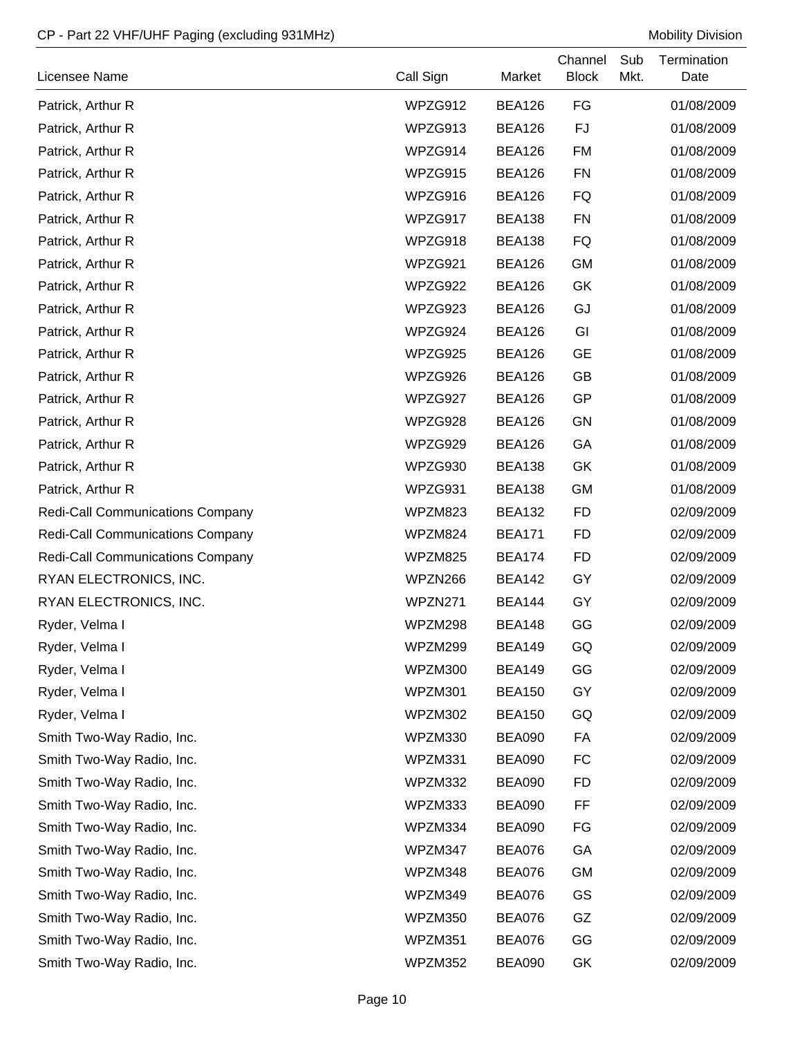| Licensee Name                           | Call Sign | Market        | Channel<br><b>Block</b> | Sub<br>Mkt. | Termination<br>Date |
|-----------------------------------------|-----------|---------------|-------------------------|-------------|---------------------|
| Patrick, Arthur R                       | WPZG912   | <b>BEA126</b> | FG                      |             | 01/08/2009          |
| Patrick, Arthur R                       | WPZG913   | <b>BEA126</b> | FJ                      |             | 01/08/2009          |
| Patrick, Arthur R                       | WPZG914   | <b>BEA126</b> | <b>FM</b>               |             | 01/08/2009          |
| Patrick, Arthur R                       | WPZG915   | <b>BEA126</b> | <b>FN</b>               |             | 01/08/2009          |
| Patrick, Arthur R                       | WPZG916   | <b>BEA126</b> | FQ                      |             | 01/08/2009          |
| Patrick, Arthur R                       | WPZG917   | <b>BEA138</b> | <b>FN</b>               |             | 01/08/2009          |
| Patrick, Arthur R                       | WPZG918   | <b>BEA138</b> | FQ                      |             | 01/08/2009          |
| Patrick, Arthur R                       | WPZG921   | <b>BEA126</b> | <b>GM</b>               |             | 01/08/2009          |
| Patrick, Arthur R                       | WPZG922   | <b>BEA126</b> | GK                      |             | 01/08/2009          |
| Patrick, Arthur R                       | WPZG923   | <b>BEA126</b> | GJ                      |             | 01/08/2009          |
| Patrick, Arthur R                       | WPZG924   | <b>BEA126</b> | GI                      |             | 01/08/2009          |
| Patrick, Arthur R                       | WPZG925   | <b>BEA126</b> | <b>GE</b>               |             | 01/08/2009          |
| Patrick, Arthur R                       | WPZG926   | <b>BEA126</b> | GB                      |             | 01/08/2009          |
| Patrick, Arthur R                       | WPZG927   | <b>BEA126</b> | GP                      |             | 01/08/2009          |
| Patrick, Arthur R                       | WPZG928   | <b>BEA126</b> | GN                      |             | 01/08/2009          |
| Patrick, Arthur R                       | WPZG929   | <b>BEA126</b> | GA                      |             | 01/08/2009          |
| Patrick, Arthur R                       | WPZG930   | <b>BEA138</b> | GK                      |             | 01/08/2009          |
| Patrick, Arthur R                       | WPZG931   | <b>BEA138</b> | <b>GM</b>               |             | 01/08/2009          |
| <b>Redi-Call Communications Company</b> | WPZM823   | <b>BEA132</b> | <b>FD</b>               |             | 02/09/2009          |
| <b>Redi-Call Communications Company</b> | WPZM824   | <b>BEA171</b> | <b>FD</b>               |             | 02/09/2009          |
| <b>Redi-Call Communications Company</b> | WPZM825   | <b>BEA174</b> | <b>FD</b>               |             | 02/09/2009          |
| RYAN ELECTRONICS, INC.                  | WPZN266   | <b>BEA142</b> | GY                      |             | 02/09/2009          |
| RYAN ELECTRONICS, INC.                  | WPZN271   | <b>BEA144</b> | GY                      |             | 02/09/2009          |
| Ryder, Velma I                          | WPZM298   | <b>BEA148</b> | GG                      |             | 02/09/2009          |
| Ryder, Velma I                          | WPZM299   | <b>BEA149</b> | GQ                      |             | 02/09/2009          |
| Ryder, Velma I                          | WPZM300   | <b>BEA149</b> | GG                      |             | 02/09/2009          |
| Ryder, Velma I                          | WPZM301   | <b>BEA150</b> | GY                      |             | 02/09/2009          |
| Ryder, Velma I                          | WPZM302   | <b>BEA150</b> | GQ                      |             | 02/09/2009          |
| Smith Two-Way Radio, Inc.               | WPZM330   | <b>BEA090</b> | FA                      |             | 02/09/2009          |
| Smith Two-Way Radio, Inc.               | WPZM331   | <b>BEA090</b> | FC                      |             | 02/09/2009          |
| Smith Two-Way Radio, Inc.               | WPZM332   | <b>BEA090</b> | <b>FD</b>               |             | 02/09/2009          |
| Smith Two-Way Radio, Inc.               | WPZM333   | <b>BEA090</b> | FF                      |             | 02/09/2009          |
| Smith Two-Way Radio, Inc.               | WPZM334   | <b>BEA090</b> | FG                      |             | 02/09/2009          |
| Smith Two-Way Radio, Inc.               | WPZM347   | <b>BEA076</b> | GA                      |             | 02/09/2009          |
| Smith Two-Way Radio, Inc.               | WPZM348   | <b>BEA076</b> | <b>GM</b>               |             | 02/09/2009          |
| Smith Two-Way Radio, Inc.               | WPZM349   | <b>BEA076</b> | GS                      |             | 02/09/2009          |
| Smith Two-Way Radio, Inc.               | WPZM350   | <b>BEA076</b> | GZ                      |             | 02/09/2009          |
| Smith Two-Way Radio, Inc.               | WPZM351   | <b>BEA076</b> | GG                      |             | 02/09/2009          |
| Smith Two-Way Radio, Inc.               | WPZM352   | <b>BEA090</b> | GK                      |             | 02/09/2009          |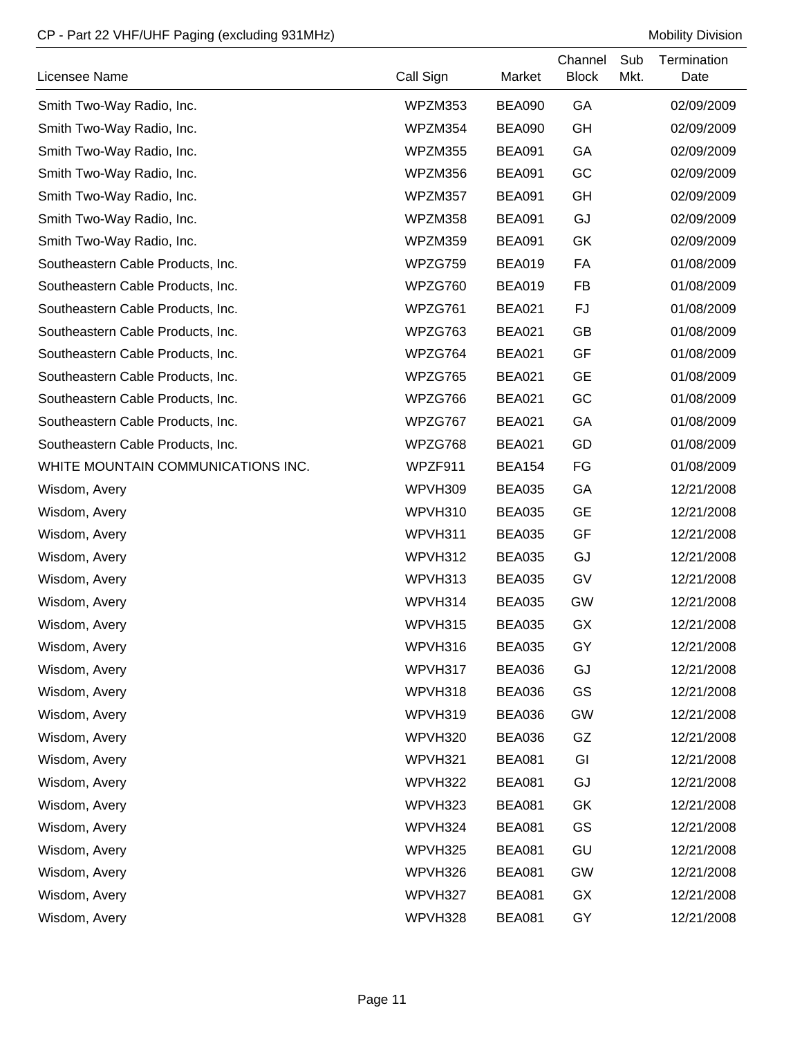| Licensee Name                      | Call Sign | Market        | Channel<br><b>Block</b> | Sub<br>Mkt. | Termination<br>Date |
|------------------------------------|-----------|---------------|-------------------------|-------------|---------------------|
| Smith Two-Way Radio, Inc.          | WPZM353   | BEA090        | GA                      |             | 02/09/2009          |
| Smith Two-Way Radio, Inc.          | WPZM354   | <b>BEA090</b> | GH                      |             | 02/09/2009          |
| Smith Two-Way Radio, Inc.          | WPZM355   | <b>BEA091</b> | GA                      |             | 02/09/2009          |
| Smith Two-Way Radio, Inc.          | WPZM356   | <b>BEA091</b> | GC                      |             | 02/09/2009          |
| Smith Two-Way Radio, Inc.          | WPZM357   | <b>BEA091</b> | GH                      |             | 02/09/2009          |
| Smith Two-Way Radio, Inc.          | WPZM358   | <b>BEA091</b> | GJ                      |             | 02/09/2009          |
| Smith Two-Way Radio, Inc.          | WPZM359   | <b>BEA091</b> | GK                      |             | 02/09/2009          |
| Southeastern Cable Products, Inc.  | WPZG759   | <b>BEA019</b> | FA                      |             | 01/08/2009          |
| Southeastern Cable Products, Inc.  | WPZG760   | <b>BEA019</b> | <b>FB</b>               |             | 01/08/2009          |
| Southeastern Cable Products, Inc.  | WPZG761   | <b>BEA021</b> | FJ                      |             | 01/08/2009          |
| Southeastern Cable Products, Inc.  | WPZG763   | <b>BEA021</b> | GB                      |             | 01/08/2009          |
| Southeastern Cable Products, Inc.  | WPZG764   | <b>BEA021</b> | GF                      |             | 01/08/2009          |
| Southeastern Cable Products, Inc.  | WPZG765   | <b>BEA021</b> | <b>GE</b>               |             | 01/08/2009          |
| Southeastern Cable Products, Inc.  | WPZG766   | <b>BEA021</b> | GC                      |             | 01/08/2009          |
| Southeastern Cable Products, Inc.  | WPZG767   | <b>BEA021</b> | GA                      |             | 01/08/2009          |
| Southeastern Cable Products, Inc.  | WPZG768   | <b>BEA021</b> | GD                      |             | 01/08/2009          |
| WHITE MOUNTAIN COMMUNICATIONS INC. | WPZF911   | <b>BEA154</b> | FG                      |             | 01/08/2009          |
| Wisdom, Avery                      | WPVH309   | <b>BEA035</b> | GA                      |             | 12/21/2008          |
| Wisdom, Avery                      | WPVH310   | <b>BEA035</b> | <b>GE</b>               |             | 12/21/2008          |
| Wisdom, Avery                      | WPVH311   | <b>BEA035</b> | GF                      |             | 12/21/2008          |
| Wisdom, Avery                      | WPVH312   | <b>BEA035</b> | GJ                      |             | 12/21/2008          |
| Wisdom, Avery                      | WPVH313   | <b>BEA035</b> | GV                      |             | 12/21/2008          |
| Wisdom, Avery                      | WPVH314   | <b>BEA035</b> | <b>GW</b>               |             | 12/21/2008          |
| Wisdom, Avery                      | WPVH315   | <b>BEA035</b> | GX                      |             | 12/21/2008          |
| Wisdom, Avery                      | WPVH316   | <b>BEA035</b> | GY                      |             | 12/21/2008          |
| Wisdom, Avery                      | WPVH317   | <b>BEA036</b> | GJ                      |             | 12/21/2008          |
| Wisdom, Avery                      | WPVH318   | <b>BEA036</b> | GS                      |             | 12/21/2008          |
| Wisdom, Avery                      | WPVH319   | <b>BEA036</b> | GW                      |             | 12/21/2008          |
| Wisdom, Avery                      | WPVH320   | BEA036        | GZ                      |             | 12/21/2008          |
| Wisdom, Avery                      | WPVH321   | <b>BEA081</b> | GI                      |             | 12/21/2008          |
| Wisdom, Avery                      | WPVH322   | <b>BEA081</b> | GJ                      |             | 12/21/2008          |
| Wisdom, Avery                      | WPVH323   | <b>BEA081</b> | GK                      |             | 12/21/2008          |
| Wisdom, Avery                      | WPVH324   | <b>BEA081</b> | GS                      |             | 12/21/2008          |
| Wisdom, Avery                      | WPVH325   | <b>BEA081</b> | GU                      |             | 12/21/2008          |
| Wisdom, Avery                      | WPVH326   | <b>BEA081</b> | GW                      |             | 12/21/2008          |
| Wisdom, Avery                      | WPVH327   | <b>BEA081</b> | GX                      |             | 12/21/2008          |
| Wisdom, Avery                      | WPVH328   | <b>BEA081</b> | GY                      |             | 12/21/2008          |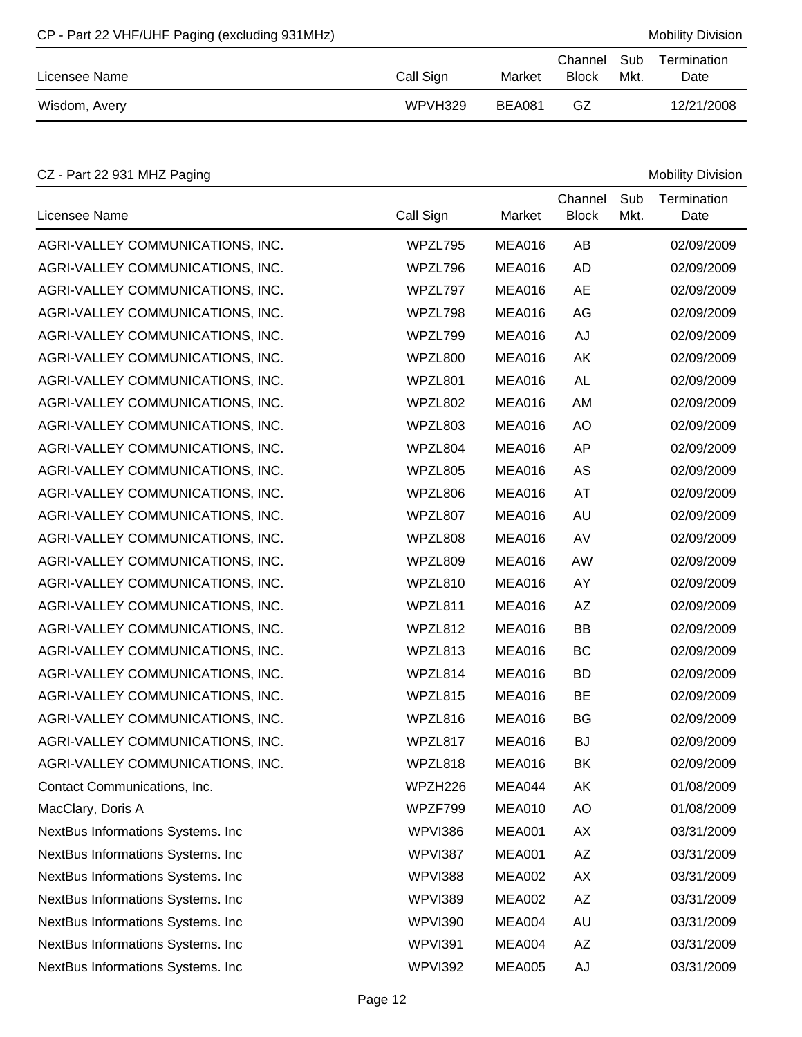| CP - Part 22 VHF/UHF Paging (excluding 931MHz) |           |        |                             |      | <b>Mobility Division</b> |
|------------------------------------------------|-----------|--------|-----------------------------|------|--------------------------|
| Licensee Name                                  | Call Sign | Market | Channel Sub<br><b>Block</b> | Mkt. | Termination<br>Date      |
| Wisdom, Avery                                  | WPVH329   | BEA081 | GZ                          |      | 12/21/2008               |

# CZ - Part 22 931 MHZ Paging Mobility Division

| Licensee Name                     | Call Sign      | Market        | Channel<br><b>Block</b> | Sub<br>Mkt. | Termination<br>Date |
|-----------------------------------|----------------|---------------|-------------------------|-------------|---------------------|
| AGRI-VALLEY COMMUNICATIONS, INC.  | WPZL795        | <b>MEA016</b> | AB                      |             | 02/09/2009          |
| AGRI-VALLEY COMMUNICATIONS, INC.  | WPZL796        | <b>MEA016</b> | <b>AD</b>               |             | 02/09/2009          |
| AGRI-VALLEY COMMUNICATIONS, INC.  | WPZL797        | <b>MEA016</b> | <b>AE</b>               |             | 02/09/2009          |
| AGRI-VALLEY COMMUNICATIONS, INC.  | WPZL798        | <b>MEA016</b> | AG                      |             | 02/09/2009          |
| AGRI-VALLEY COMMUNICATIONS, INC.  | WPZL799        | <b>MEA016</b> | AJ                      |             | 02/09/2009          |
| AGRI-VALLEY COMMUNICATIONS, INC.  | WPZL800        | <b>MEA016</b> | AK                      |             | 02/09/2009          |
| AGRI-VALLEY COMMUNICATIONS, INC.  | WPZL801        | <b>MEA016</b> | <b>AL</b>               |             | 02/09/2009          |
| AGRI-VALLEY COMMUNICATIONS, INC.  | WPZL802        | <b>MEA016</b> | AM                      |             | 02/09/2009          |
| AGRI-VALLEY COMMUNICATIONS, INC.  | WPZL803        | <b>MEA016</b> | <b>AO</b>               |             | 02/09/2009          |
| AGRI-VALLEY COMMUNICATIONS, INC.  | WPZL804        | <b>MEA016</b> | <b>AP</b>               |             | 02/09/2009          |
| AGRI-VALLEY COMMUNICATIONS, INC.  | WPZL805        | <b>MEA016</b> | AS                      |             | 02/09/2009          |
| AGRI-VALLEY COMMUNICATIONS, INC.  | WPZL806        | <b>MEA016</b> | AT                      |             | 02/09/2009          |
| AGRI-VALLEY COMMUNICATIONS, INC.  | WPZL807        | <b>MEA016</b> | <b>AU</b>               |             | 02/09/2009          |
| AGRI-VALLEY COMMUNICATIONS, INC.  | WPZL808        | <b>MEA016</b> | AV                      |             | 02/09/2009          |
| AGRI-VALLEY COMMUNICATIONS, INC.  | WPZL809        | <b>MEA016</b> | AW                      |             | 02/09/2009          |
| AGRI-VALLEY COMMUNICATIONS, INC.  | WPZL810        | <b>MEA016</b> | AY                      |             | 02/09/2009          |
| AGRI-VALLEY COMMUNICATIONS, INC.  | WPZL811        | <b>MEA016</b> | <b>AZ</b>               |             | 02/09/2009          |
| AGRI-VALLEY COMMUNICATIONS, INC.  | WPZL812        | <b>MEA016</b> | <b>BB</b>               |             | 02/09/2009          |
| AGRI-VALLEY COMMUNICATIONS, INC.  | WPZL813        | <b>MEA016</b> | BC                      |             | 02/09/2009          |
| AGRI-VALLEY COMMUNICATIONS, INC.  | WPZL814        | <b>MEA016</b> | <b>BD</b>               |             | 02/09/2009          |
| AGRI-VALLEY COMMUNICATIONS, INC.  | WPZL815        | <b>MEA016</b> | <b>BE</b>               |             | 02/09/2009          |
| AGRI-VALLEY COMMUNICATIONS, INC.  | WPZL816        | <b>MEA016</b> | <b>BG</b>               |             | 02/09/2009          |
| AGRI-VALLEY COMMUNICATIONS, INC.  | WPZL817        | <b>MEA016</b> | <b>BJ</b>               |             | 02/09/2009          |
| AGRI-VALLEY COMMUNICATIONS, INC.  | WPZL818        | <b>MEA016</b> | BK                      |             | 02/09/2009          |
| Contact Communications, Inc.      | WPZH226        | MEA044        | AK                      |             | 01/08/2009          |
| MacClary, Doris A                 | WPZF799        | <b>MEA010</b> | AO                      |             | 01/08/2009          |
| NextBus Informations Systems. Inc | WPVI386        | <b>MEA001</b> | AX                      |             | 03/31/2009          |
| NextBus Informations Systems. Inc | WPVI387        | <b>MEA001</b> | AZ                      |             | 03/31/2009          |
| NextBus Informations Systems. Inc | WPVI388        | <b>MEA002</b> | AX                      |             | 03/31/2009          |
| NextBus Informations Systems. Inc | WPVI389        | <b>MEA002</b> | AZ                      |             | 03/31/2009          |
| NextBus Informations Systems. Inc | <b>WPVI390</b> | MEA004        | AU                      |             | 03/31/2009          |
| NextBus Informations Systems. Inc | <b>WPVI391</b> | MEA004        | AZ                      |             | 03/31/2009          |
| NextBus Informations Systems. Inc | <b>WPVI392</b> | <b>MEA005</b> | AJ                      |             | 03/31/2009          |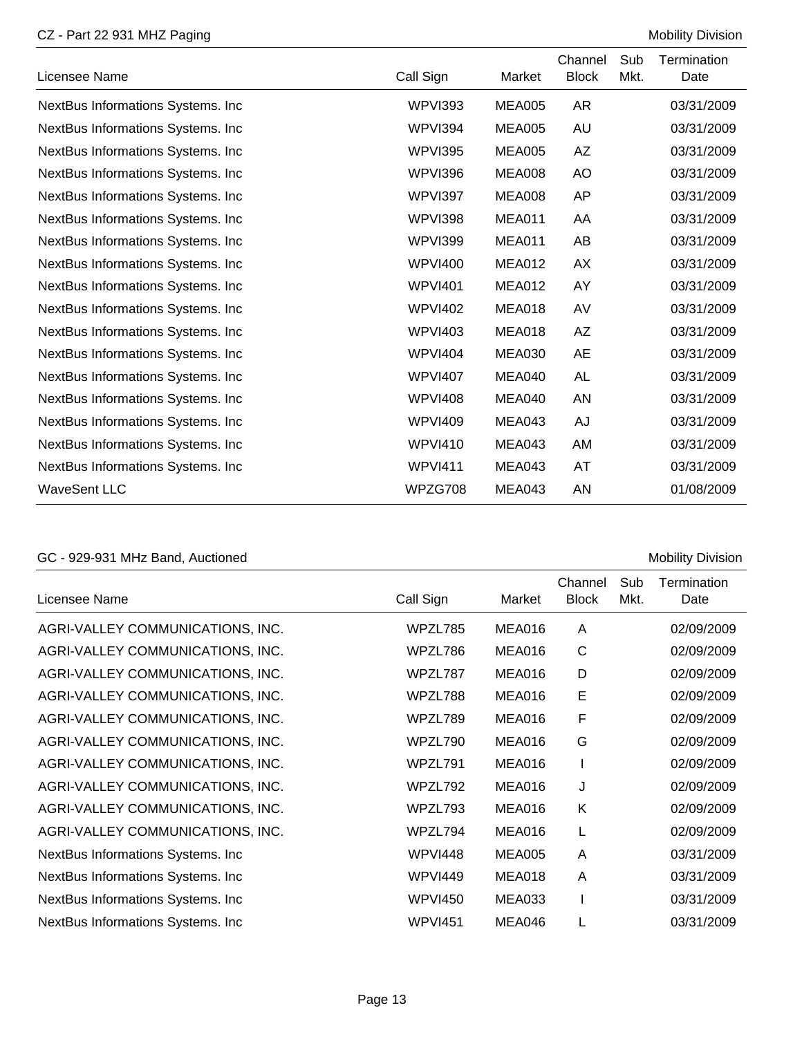#### CZ - Part 22 931 MHZ Paging Mobility Division

| Licensee Name                      | Call Sign      | Market        | Channel<br><b>Block</b> | Sub<br>Mkt. | Termination<br>Date |
|------------------------------------|----------------|---------------|-------------------------|-------------|---------------------|
| NextBus Informations Systems. Inc  | WPVI393        | <b>MEA005</b> | AR                      |             | 03/31/2009          |
| NextBus Informations Systems. Inc  | WPVI394        | <b>MEA005</b> | AU                      |             | 03/31/2009          |
| NextBus Informations Systems. Inc. | WPVI395        | <b>MEA005</b> | AZ                      |             | 03/31/2009          |
| NextBus Informations Systems. Inc. | WPVI396        | <b>MEA008</b> | AO                      |             | 03/31/2009          |
| NextBus Informations Systems. Inc. | WPVI397        | <b>MEA008</b> | AP                      |             | 03/31/2009          |
| NextBus Informations Systems. Inc  | WPVI398        | <b>MEA011</b> | AA                      |             | 03/31/2009          |
| NextBus Informations Systems. Inc  | <b>WPVI399</b> | <b>MEA011</b> | AB                      |             | 03/31/2009          |
| NextBus Informations Systems. Inc. | <b>WPVI400</b> | <b>MEA012</b> | <b>AX</b>               |             | 03/31/2009          |
| NextBus Informations Systems. Inc  | <b>WPVI401</b> | <b>MEA012</b> | AY                      |             | 03/31/2009          |
| NextBus Informations Systems. Inc. | <b>WPVI402</b> | MEA018        | AV                      |             | 03/31/2009          |
| NextBus Informations Systems. Inc. | <b>WPVI403</b> | <b>MEA018</b> | <b>AZ</b>               |             | 03/31/2009          |
| NextBus Informations Systems. Inc  | <b>WPVI404</b> | <b>MEA030</b> | <b>AE</b>               |             | 03/31/2009          |
| NextBus Informations Systems. Inc  | <b>WPVI407</b> | MEA040        | <b>AL</b>               |             | 03/31/2009          |
| NextBus Informations Systems. Inc. | <b>WPVI408</b> | MEA040        | AN                      |             | 03/31/2009          |
| NextBus Informations Systems. Inc. | <b>WPVI409</b> | MEA043        | AJ                      |             | 03/31/2009          |
| NextBus Informations Systems. Inc  | <b>WPVI410</b> | <b>MEA043</b> | AM                      |             | 03/31/2009          |
| NextBus Informations Systems. Inc  | <b>WPVI411</b> | MEA043        | AT                      |             | 03/31/2009          |
| <b>WaveSent LLC</b>                | WPZG708        | MEA043        | AN                      |             | 01/08/2009          |

# GC - 929-931 MHz Band, Auctioned Mobility Division

| Licensee Name                     | Call Sign      | Market        | Channel<br><b>Block</b> | Sub<br>Mkt. | Termination<br>Date |
|-----------------------------------|----------------|---------------|-------------------------|-------------|---------------------|
| AGRI-VALLEY COMMUNICATIONS, INC.  | WPZL785        | MEA016        | A                       |             | 02/09/2009          |
| AGRI-VALLEY COMMUNICATIONS, INC.  | WPZL786        | MEA016        | $\mathsf{C}$            |             | 02/09/2009          |
| AGRI-VALLEY COMMUNICATIONS, INC.  | WPZL787        | MEA016        | D                       |             | 02/09/2009          |
| AGRI-VALLEY COMMUNICATIONS, INC.  | WPZL788        | <b>MEA016</b> | E                       |             | 02/09/2009          |
| AGRI-VALLEY COMMUNICATIONS, INC.  | WPZL789        | <b>MEA016</b> | F                       |             | 02/09/2009          |
| AGRI-VALLEY COMMUNICATIONS, INC.  | WPZL790        | <b>MEA016</b> | G                       |             | 02/09/2009          |
| AGRI-VALLEY COMMUNICATIONS, INC.  | WPZL791        | <b>MEA016</b> |                         |             | 02/09/2009          |
| AGRI-VALLEY COMMUNICATIONS, INC.  | WPZL792        | MEA016        | J                       |             | 02/09/2009          |
| AGRI-VALLEY COMMUNICATIONS, INC.  | WPZL793        | MEA016        | K                       |             | 02/09/2009          |
| AGRI-VALLEY COMMUNICATIONS, INC.  | WPZL794        | <b>MEA016</b> | L                       |             | 02/09/2009          |
| NextBus Informations Systems. Inc | <b>WPVI448</b> | <b>MEA005</b> | A                       |             | 03/31/2009          |
| NextBus Informations Systems. Inc | <b>WPVI449</b> | <b>MEA018</b> | A                       |             | 03/31/2009          |
| NextBus Informations Systems. Inc | <b>WPVI450</b> | <b>MEA033</b> |                         |             | 03/31/2009          |
| NextBus Informations Systems. Inc | <b>WPVI451</b> | MEA046        | L                       |             | 03/31/2009          |